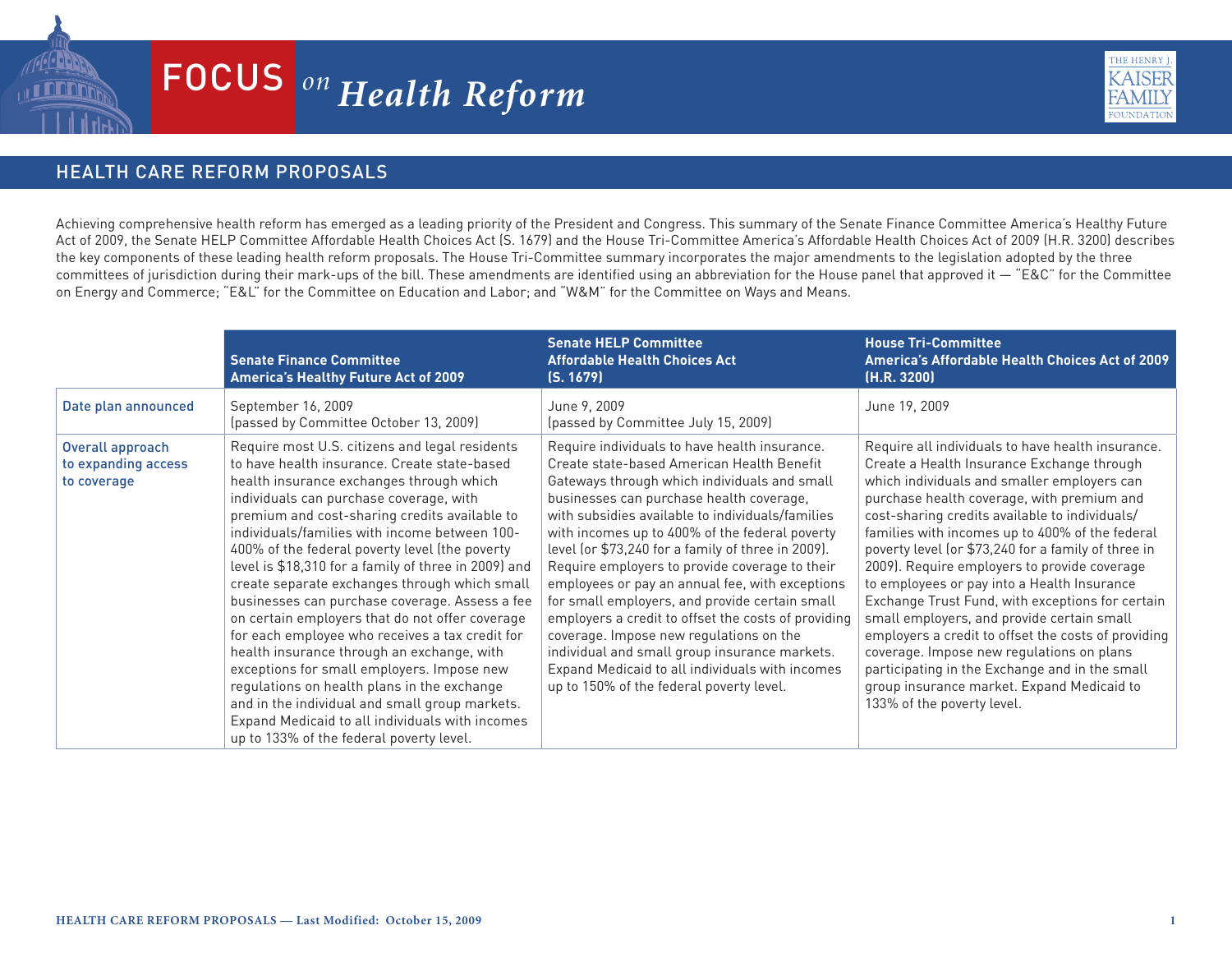

## $FOCUS$ <sup>on</sup> Health Reform



## HEALTH CARE REFORM PROPOSALS

Achieving comprehensive health reform has emerged as a leading priority of the President and Congress. This summary of the Senate Finance Committee America's Healthy Future Act of 2009, the Senate HELP Committee Affordable Health Choices Act (S. 1679) and the House Tri-Committee America's Affordable Health Choices Act of 2009 (H.R. 3200) describes the key components of these leading health reform proposals. The House Tri-Committee summary incorporates the major amendments to the legislation adopted by the three committees of jurisdiction during their mark-ups of the bill. These amendments are identified using an abbreviation for the House panel that approved it — "E&C" for the Committee on Energy and Commerce; "E&L" for the Committee on Education and Labor; and "W&M" for the Committee on Ways and Means.

|                                                        | <b>Senate Finance Committee</b><br>America's Healthy Future Act of 2009                                                                                                                                                                                                                                                                                                                                                                                                                                                                                                                                                                                                                                                                                                                                                                                                                                | <b>Senate HELP Committee</b><br><b>Affordable Health Choices Act</b><br>(S. 1679)                                                                                                                                                                                                                                                                                                                                                                                                                                                                                                                                                                                                                                                                            | <b>House Tri-Committee</b><br>America's Affordable Health Choices Act of 2009<br>(H.R. 3200)                                                                                                                                                                                                                                                                                                                                                                                                                                                                                                                                                                                                                                                                                                |
|--------------------------------------------------------|--------------------------------------------------------------------------------------------------------------------------------------------------------------------------------------------------------------------------------------------------------------------------------------------------------------------------------------------------------------------------------------------------------------------------------------------------------------------------------------------------------------------------------------------------------------------------------------------------------------------------------------------------------------------------------------------------------------------------------------------------------------------------------------------------------------------------------------------------------------------------------------------------------|--------------------------------------------------------------------------------------------------------------------------------------------------------------------------------------------------------------------------------------------------------------------------------------------------------------------------------------------------------------------------------------------------------------------------------------------------------------------------------------------------------------------------------------------------------------------------------------------------------------------------------------------------------------------------------------------------------------------------------------------------------------|---------------------------------------------------------------------------------------------------------------------------------------------------------------------------------------------------------------------------------------------------------------------------------------------------------------------------------------------------------------------------------------------------------------------------------------------------------------------------------------------------------------------------------------------------------------------------------------------------------------------------------------------------------------------------------------------------------------------------------------------------------------------------------------------|
| Date plan announced                                    | September 16, 2009<br>(passed by Committee October 13, 2009)                                                                                                                                                                                                                                                                                                                                                                                                                                                                                                                                                                                                                                                                                                                                                                                                                                           | June 9, 2009<br>(passed by Committee July 15, 2009)                                                                                                                                                                                                                                                                                                                                                                                                                                                                                                                                                                                                                                                                                                          | June 19, 2009                                                                                                                                                                                                                                                                                                                                                                                                                                                                                                                                                                                                                                                                                                                                                                               |
| Overall approach<br>to expanding access<br>to coverage | Require most U.S. citizens and legal residents<br>to have health insurance. Create state-based<br>health insurance exchanges through which<br>individuals can purchase coverage, with<br>premium and cost-sharing credits available to<br>individuals/families with income between 100-<br>400% of the federal poverty level (the poverty<br>level is \$18,310 for a family of three in 2009) and<br>create separate exchanges through which small<br>businesses can purchase coverage. Assess a fee<br>on certain employers that do not offer coverage<br>for each employee who receives a tax credit for<br>health insurance through an exchange, with<br>exceptions for small employers. Impose new<br>regulations on health plans in the exchange<br>and in the individual and small group markets.<br>Expand Medicaid to all individuals with incomes<br>up to 133% of the federal poverty level. | Require individuals to have health insurance.<br>Create state-based American Health Benefit<br>Gateways through which individuals and small<br>businesses can purchase health coverage,<br>with subsidies available to individuals/families<br>with incomes up to 400% of the federal poverty<br>level (or \$73,240 for a family of three in 2009).<br>Require employers to provide coverage to their<br>employees or pay an annual fee, with exceptions<br>for small employers, and provide certain small<br>employers a credit to offset the costs of providing<br>coverage. Impose new regulations on the<br>individual and small group insurance markets.<br>Expand Medicaid to all individuals with incomes<br>up to 150% of the federal poverty level. | Require all individuals to have health insurance.<br>Create a Health Insurance Exchange through<br>which individuals and smaller employers can<br>purchase health coverage, with premium and<br>cost-sharing credits available to individuals/<br>families with incomes up to 400% of the federal<br>poverty level (or \$73,240 for a family of three in<br>2009). Require employers to provide coverage<br>to employees or pay into a Health Insurance<br>Exchange Trust Fund, with exceptions for certain<br>small employers, and provide certain small<br>employers a credit to offset the costs of providing<br>coverage. Impose new regulations on plans<br>participating in the Exchange and in the small<br>group insurance market. Expand Medicaid to<br>133% of the poverty level. |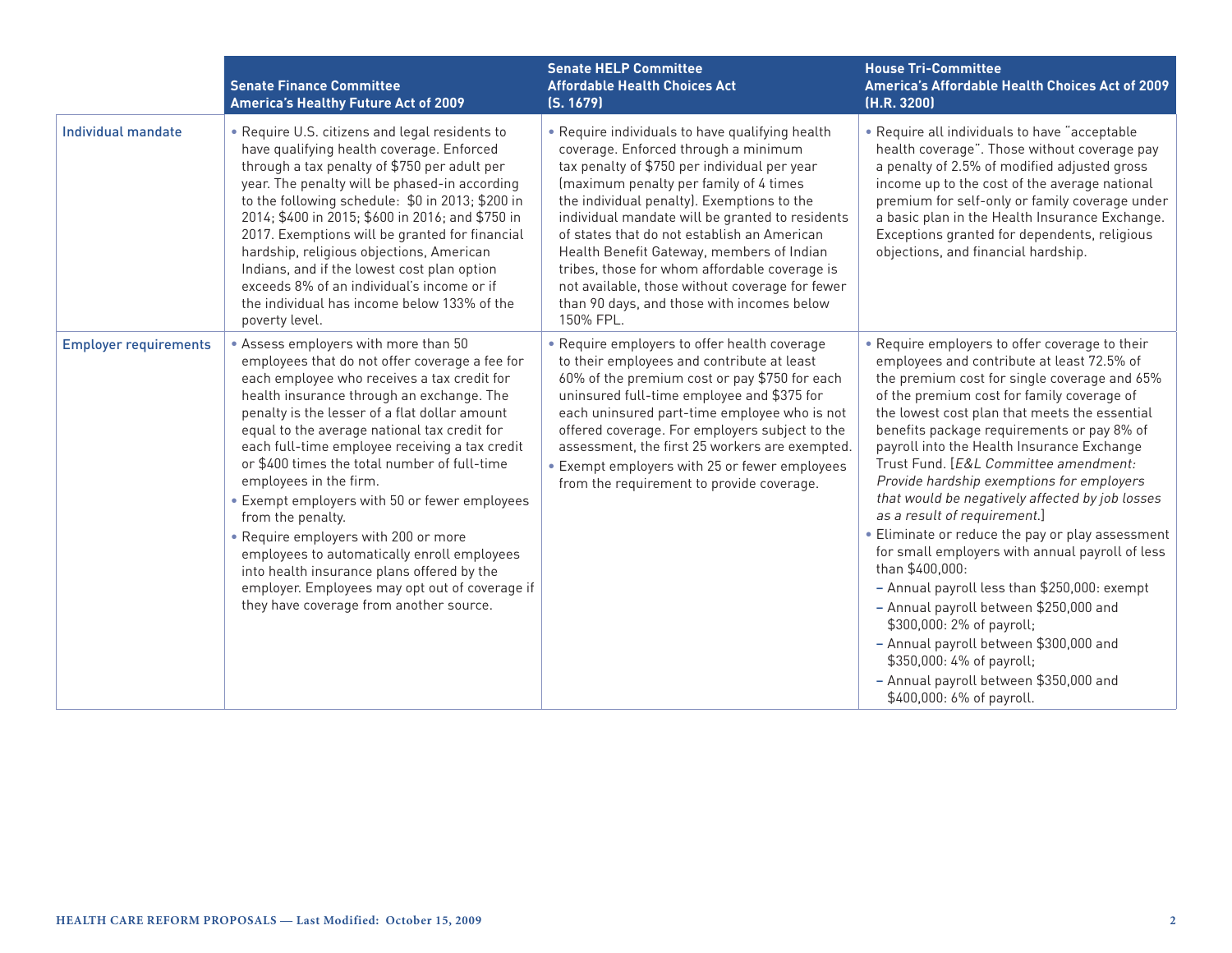|                              | <b>Senate Finance Committee</b><br><b>America's Healthy Future Act of 2009</b>                                                                                                                                                                                                                                                                                                                                                                                                                                                                                                                                                                                                                                          | <b>Senate HELP Committee</b><br><b>Affordable Health Choices Act</b><br>(S. 1679)                                                                                                                                                                                                                                                                                                                                                                                                                                                             | <b>House Tri-Committee</b><br>America's Affordable Health Choices Act of 2009<br>(H.R. 3200)                                                                                                                                                                                                                                                                                                                                                                                                                                                                                                                                                                                                                                                                                                                                                                                                                    |
|------------------------------|-------------------------------------------------------------------------------------------------------------------------------------------------------------------------------------------------------------------------------------------------------------------------------------------------------------------------------------------------------------------------------------------------------------------------------------------------------------------------------------------------------------------------------------------------------------------------------------------------------------------------------------------------------------------------------------------------------------------------|-----------------------------------------------------------------------------------------------------------------------------------------------------------------------------------------------------------------------------------------------------------------------------------------------------------------------------------------------------------------------------------------------------------------------------------------------------------------------------------------------------------------------------------------------|-----------------------------------------------------------------------------------------------------------------------------------------------------------------------------------------------------------------------------------------------------------------------------------------------------------------------------------------------------------------------------------------------------------------------------------------------------------------------------------------------------------------------------------------------------------------------------------------------------------------------------------------------------------------------------------------------------------------------------------------------------------------------------------------------------------------------------------------------------------------------------------------------------------------|
| <b>Individual mandate</b>    | . Require U.S. citizens and legal residents to<br>have qualifying health coverage. Enforced<br>through a tax penalty of \$750 per adult per<br>year. The penalty will be phased-in according<br>to the following schedule: \$0 in 2013; \$200 in<br>2014; \$400 in 2015; \$600 in 2016; and \$750 in<br>2017. Exemptions will be granted for financial<br>hardship, religious objections, American<br>Indians, and if the lowest cost plan option<br>exceeds 8% of an individual's income or if<br>the individual has income below 133% of the<br>poverty level.                                                                                                                                                        | • Require individuals to have qualifying health<br>coverage. Enforced through a minimum<br>tax penalty of \$750 per individual per year<br>(maximum penalty per family of 4 times<br>the individual penalty). Exemptions to the<br>individual mandate will be granted to residents<br>of states that do not establish an American<br>Health Benefit Gateway, members of Indian<br>tribes, those for whom affordable coverage is<br>not available, those without coverage for fewer<br>than 90 days, and those with incomes below<br>150% FPL. | • Require all individuals to have "acceptable<br>health coverage". Those without coverage pay<br>a penalty of 2.5% of modified adjusted gross<br>income up to the cost of the average national<br>premium for self-only or family coverage under<br>a basic plan in the Health Insurance Exchange.<br>Exceptions granted for dependents, religious<br>objections, and financial hardship.                                                                                                                                                                                                                                                                                                                                                                                                                                                                                                                       |
| <b>Employer requirements</b> | • Assess employers with more than 50<br>employees that do not offer coverage a fee for<br>each employee who receives a tax credit for<br>health insurance through an exchange. The<br>penalty is the lesser of a flat dollar amount<br>equal to the average national tax credit for<br>each full-time employee receiving a tax credit<br>or \$400 times the total number of full-time<br>employees in the firm.<br>• Exempt employers with 50 or fewer employees<br>from the penalty.<br>• Require employers with 200 or more<br>employees to automatically enroll employees<br>into health insurance plans offered by the<br>employer. Employees may opt out of coverage if<br>they have coverage from another source. | • Require employers to offer health coverage<br>to their employees and contribute at least<br>60% of the premium cost or pay \$750 for each<br>uninsured full-time employee and \$375 for<br>each uninsured part-time employee who is not<br>offered coverage. For employers subject to the<br>assessment, the first 25 workers are exempted.<br>• Exempt employers with 25 or fewer employees<br>from the requirement to provide coverage.                                                                                                   | • Require employers to offer coverage to their<br>employees and contribute at least 72.5% of<br>the premium cost for single coverage and 65%<br>of the premium cost for family coverage of<br>the lowest cost plan that meets the essential<br>benefits package requirements or pay 8% of<br>payroll into the Health Insurance Exchange<br>Trust Fund. [E&L Committee amendment:<br>Provide hardship exemptions for employers<br>that would be negatively affected by job losses<br>as a result of requirement.]<br>• Eliminate or reduce the pay or play assessment<br>for small employers with annual payroll of less<br>than \$400,000:<br>- Annual payroll less than \$250,000: exempt<br>- Annual payroll between \$250,000 and<br>\$300,000: 2% of payroll;<br>- Annual payroll between \$300,000 and<br>\$350,000: 4% of payroll;<br>- Annual payroll between \$350,000 and<br>\$400,000: 6% of payroll. |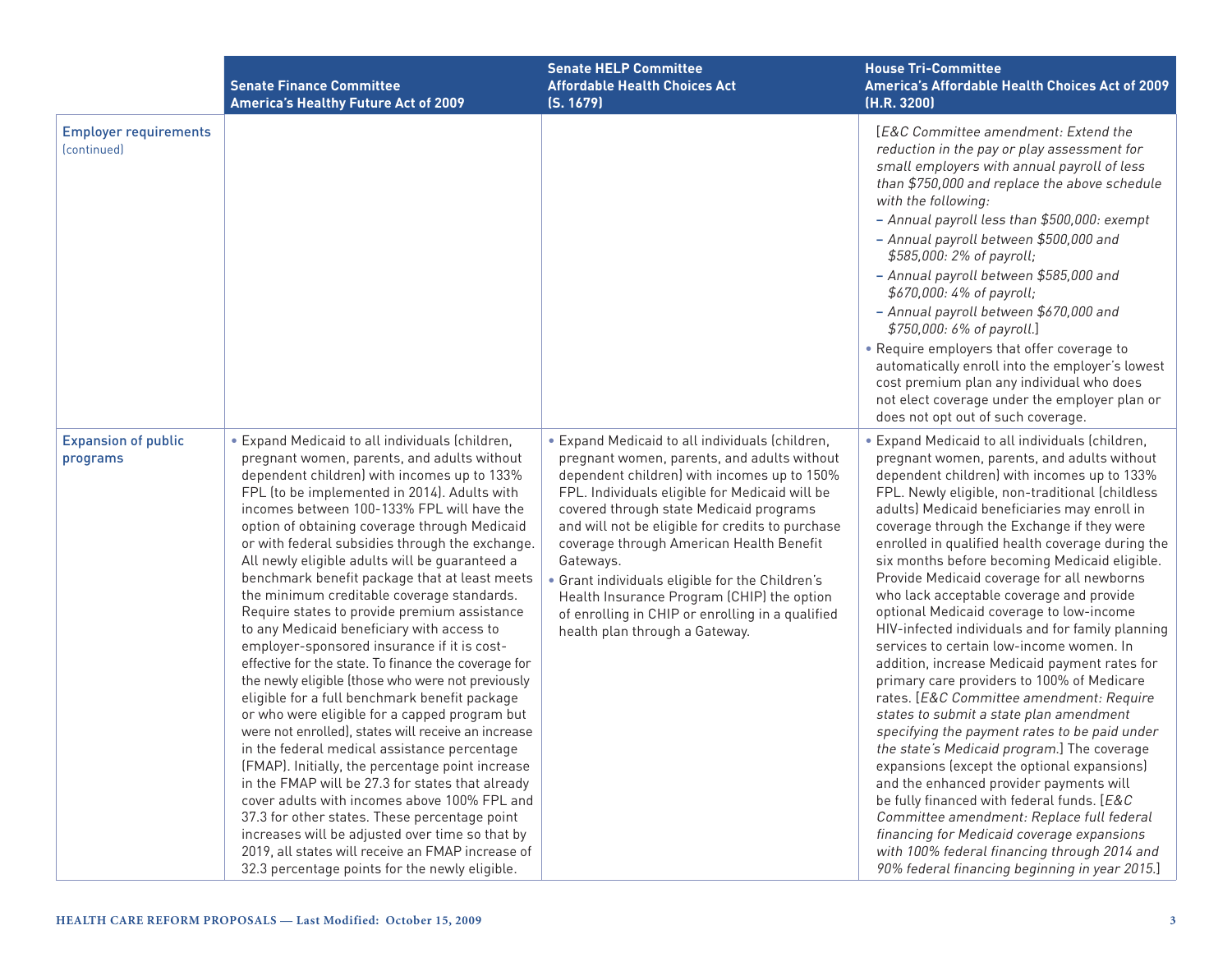|                                                                | <b>Senate Finance Committee</b><br><b>America's Healthy Future Act of 2009</b>                                                                                                                                                                                                                                                                                                                                                                                                                                                                                                                                                                                                                                                                                                                                                                                                                                                                                                                                                                                                                                                                                                                                                                                                                                                         | <b>Senate HELP Committee</b><br><b>Affordable Health Choices Act</b><br>(S. 1679)                                                                                                                                                                                                                                                                                                                                                                                                                                                            | <b>House Tri-Committee</b><br>America's Affordable Health Choices Act of 2009<br>(H.R. 3200)                                                                                                                                                                                                                                                                                                                                                                                                                                                                                                                                                                                                                                                                                                                                                                                                                                                                                                                                                                                                                                                                                                                                                                         |
|----------------------------------------------------------------|----------------------------------------------------------------------------------------------------------------------------------------------------------------------------------------------------------------------------------------------------------------------------------------------------------------------------------------------------------------------------------------------------------------------------------------------------------------------------------------------------------------------------------------------------------------------------------------------------------------------------------------------------------------------------------------------------------------------------------------------------------------------------------------------------------------------------------------------------------------------------------------------------------------------------------------------------------------------------------------------------------------------------------------------------------------------------------------------------------------------------------------------------------------------------------------------------------------------------------------------------------------------------------------------------------------------------------------|----------------------------------------------------------------------------------------------------------------------------------------------------------------------------------------------------------------------------------------------------------------------------------------------------------------------------------------------------------------------------------------------------------------------------------------------------------------------------------------------------------------------------------------------|----------------------------------------------------------------------------------------------------------------------------------------------------------------------------------------------------------------------------------------------------------------------------------------------------------------------------------------------------------------------------------------------------------------------------------------------------------------------------------------------------------------------------------------------------------------------------------------------------------------------------------------------------------------------------------------------------------------------------------------------------------------------------------------------------------------------------------------------------------------------------------------------------------------------------------------------------------------------------------------------------------------------------------------------------------------------------------------------------------------------------------------------------------------------------------------------------------------------------------------------------------------------|
| <b>Employer requirements</b><br><i><u><b>Continued</b></u></i> |                                                                                                                                                                                                                                                                                                                                                                                                                                                                                                                                                                                                                                                                                                                                                                                                                                                                                                                                                                                                                                                                                                                                                                                                                                                                                                                                        |                                                                                                                                                                                                                                                                                                                                                                                                                                                                                                                                              | [E&C Committee amendment: Extend the<br>reduction in the pay or play assessment for<br>small employers with annual payroll of less<br>than \$750,000 and replace the above schedule<br>with the following:<br>- Annual payroll less than \$500,000: exempt<br>- Annual payroll between \$500,000 and<br>\$585,000: 2% of payroll;<br>- Annual payroll between \$585,000 and<br>\$670,000: 4% of payroll;<br>- Annual payroll between \$670,000 and<br>\$750,000: 6% of payroll.]<br>• Require employers that offer coverage to<br>automatically enroll into the employer's lowest<br>cost premium plan any individual who does<br>not elect coverage under the employer plan or<br>does not opt out of such coverage.                                                                                                                                                                                                                                                                                                                                                                                                                                                                                                                                                |
| <b>Expansion of public</b><br>programs                         | • Expand Medicaid to all individuals (children,<br>pregnant women, parents, and adults without<br>dependent children) with incomes up to 133%<br>FPL (to be implemented in 2014). Adults with<br>incomes between 100-133% FPL will have the<br>option of obtaining coverage through Medicaid<br>or with federal subsidies through the exchange.<br>All newly eligible adults will be guaranteed a<br>benchmark benefit package that at least meets<br>the minimum creditable coverage standards.<br>Require states to provide premium assistance<br>to any Medicaid beneficiary with access to<br>employer-sponsored insurance if it is cost-<br>effective for the state. To finance the coverage for<br>the newly eligible (those who were not previously<br>eligible for a full benchmark benefit package<br>or who were eligible for a capped program but<br>were not enrolled), states will receive an increase<br>in the federal medical assistance percentage<br>(FMAP). Initially, the percentage point increase<br>in the FMAP will be 27.3 for states that already<br>cover adults with incomes above 100% FPL and<br>37.3 for other states. These percentage point<br>increases will be adjusted over time so that by<br>2019, all states will receive an FMAP increase of<br>32.3 percentage points for the newly eligible. | • Expand Medicaid to all individuals (children,<br>pregnant women, parents, and adults without<br>dependent children) with incomes up to 150%<br>FPL. Individuals eligible for Medicaid will be<br>covered through state Medicaid programs<br>and will not be eligible for credits to purchase<br>coverage through American Health Benefit<br>Gateways.<br>Grant individuals eligible for the Children's<br>Health Insurance Program (CHIP) the option<br>of enrolling in CHIP or enrolling in a qualified<br>health plan through a Gateway. | • Expand Medicaid to all individuals (children,<br>pregnant women, parents, and adults without<br>dependent children) with incomes up to 133%<br>FPL. Newly eligible, non-traditional (childless<br>adults) Medicaid beneficiaries may enroll in<br>coverage through the Exchange if they were<br>enrolled in qualified health coverage during the<br>six months before becoming Medicaid eligible.<br>Provide Medicaid coverage for all newborns<br>who lack acceptable coverage and provide<br>optional Medicaid coverage to low-income<br>HIV-infected individuals and for family planning<br>services to certain low-income women. In<br>addition, increase Medicaid payment rates for<br>primary care providers to 100% of Medicare<br>rates. [E&C Committee amendment: Require<br>states to submit a state plan amendment<br>specifying the payment rates to be paid under<br>the state's Medicaid program.] The coverage<br>expansions (except the optional expansions)<br>and the enhanced provider payments will<br>be fully financed with federal funds. [E&C<br>Committee amendment: Replace full federal<br>financing for Medicaid coverage expansions<br>with 100% federal financing through 2014 and<br>90% federal financing beginning in year 2015.] |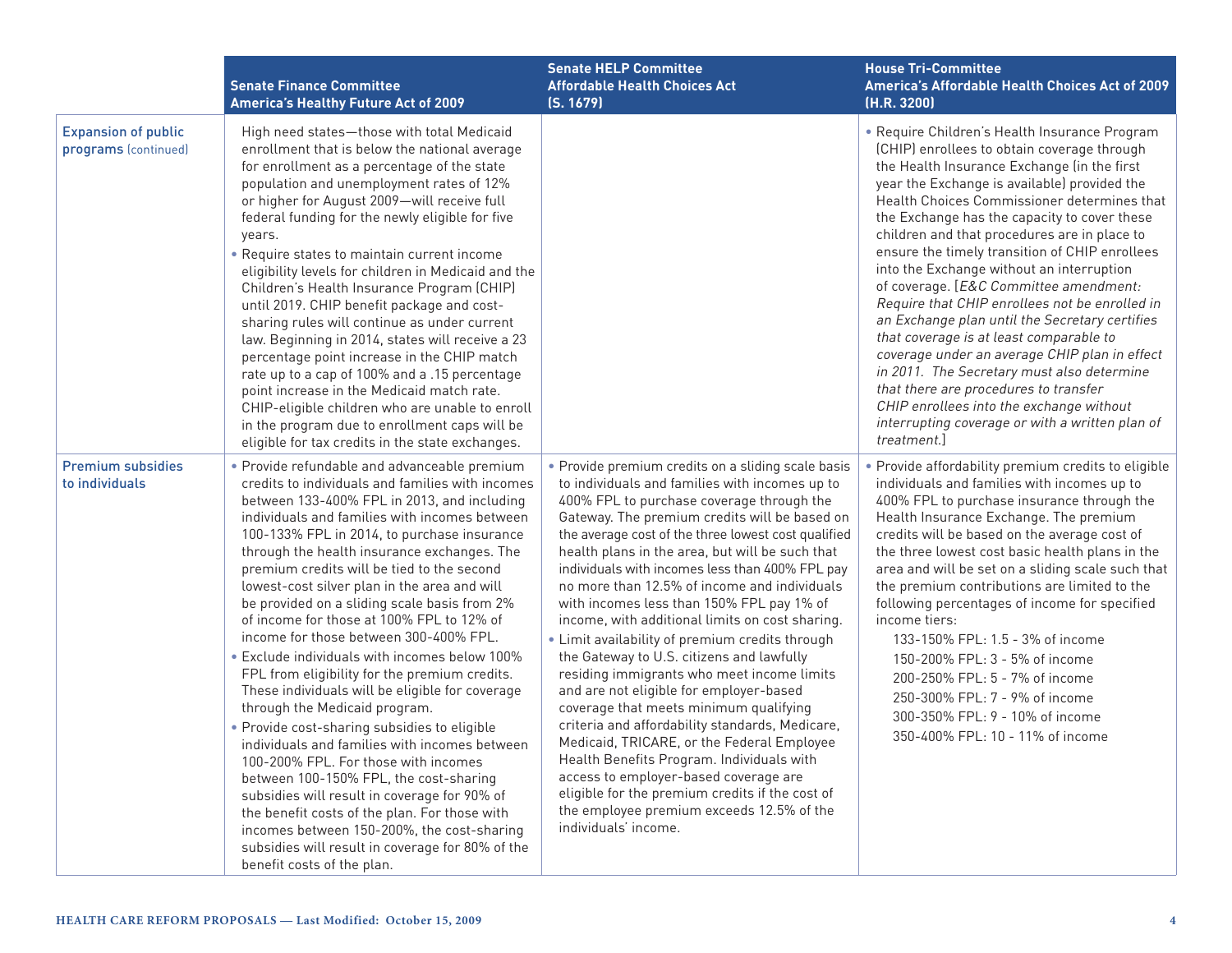|                                                    | <b>Senate Finance Committee</b><br><b>America's Healthy Future Act of 2009</b>                                                                                                                                                                                                                                                                                                                                                                                                                                                                                                                                                                                                                                                                                                                                                                                                                                                                                                                                                                                                                                                                | <b>Senate HELP Committee</b><br><b>Affordable Health Choices Act</b><br>(S. 1679)                                                                                                                                                                                                                                                                                                                                                                                                                                                                                                                                                                                                                                                                                                                                                                                                                                                                                                                                                                                 | <b>House Tri-Committee</b><br>America's Affordable Health Choices Act of 2009<br>(H.R. 3200)                                                                                                                                                                                                                                                                                                                                                                                                                                                                                                                                                                                                                                                                                                                                                                                             |
|----------------------------------------------------|-----------------------------------------------------------------------------------------------------------------------------------------------------------------------------------------------------------------------------------------------------------------------------------------------------------------------------------------------------------------------------------------------------------------------------------------------------------------------------------------------------------------------------------------------------------------------------------------------------------------------------------------------------------------------------------------------------------------------------------------------------------------------------------------------------------------------------------------------------------------------------------------------------------------------------------------------------------------------------------------------------------------------------------------------------------------------------------------------------------------------------------------------|-------------------------------------------------------------------------------------------------------------------------------------------------------------------------------------------------------------------------------------------------------------------------------------------------------------------------------------------------------------------------------------------------------------------------------------------------------------------------------------------------------------------------------------------------------------------------------------------------------------------------------------------------------------------------------------------------------------------------------------------------------------------------------------------------------------------------------------------------------------------------------------------------------------------------------------------------------------------------------------------------------------------------------------------------------------------|------------------------------------------------------------------------------------------------------------------------------------------------------------------------------------------------------------------------------------------------------------------------------------------------------------------------------------------------------------------------------------------------------------------------------------------------------------------------------------------------------------------------------------------------------------------------------------------------------------------------------------------------------------------------------------------------------------------------------------------------------------------------------------------------------------------------------------------------------------------------------------------|
| <b>Expansion of public</b><br>programs (continued) | High need states-those with total Medicaid<br>enrollment that is below the national average<br>for enrollment as a percentage of the state<br>population and unemployment rates of 12%<br>or higher for August 2009-will receive full<br>federal funding for the newly eligible for five<br>years.<br>• Require states to maintain current income<br>eligibility levels for children in Medicaid and the<br>Children's Health Insurance Program (CHIP)<br>until 2019. CHIP benefit package and cost-<br>sharing rules will continue as under current<br>law. Beginning in 2014, states will receive a 23<br>percentage point increase in the CHIP match<br>rate up to a cap of 100% and a .15 percentage<br>point increase in the Medicaid match rate.<br>CHIP-eligible children who are unable to enroll<br>in the program due to enrollment caps will be<br>eligible for tax credits in the state exchanges.                                                                                                                                                                                                                                |                                                                                                                                                                                                                                                                                                                                                                                                                                                                                                                                                                                                                                                                                                                                                                                                                                                                                                                                                                                                                                                                   | • Require Children's Health Insurance Program<br>(CHIP) enrollees to obtain coverage through<br>the Health Insurance Exchange (in the first<br>year the Exchange is available) provided the<br>Health Choices Commissioner determines that<br>the Exchange has the capacity to cover these<br>children and that procedures are in place to<br>ensure the timely transition of CHIP enrollees<br>into the Exchange without an interruption<br>of coverage. [E&C Committee amendment:<br>Require that CHIP enrollees not be enrolled in<br>an Exchange plan until the Secretary certifies<br>that coverage is at least comparable to<br>coverage under an average CHIP plan in effect<br>in 2011. The Secretary must also determine<br>that there are procedures to transfer<br>CHIP enrollees into the exchange without<br>interrupting coverage or with a written plan of<br>treatment.] |
| <b>Premium subsidies</b><br>to individuals         | · Provide refundable and advanceable premium<br>credits to individuals and families with incomes<br>between 133-400% FPL in 2013, and including<br>individuals and families with incomes between<br>100-133% FPL in 2014, to purchase insurance<br>through the health insurance exchanges. The<br>premium credits will be tied to the second<br>lowest-cost silver plan in the area and will<br>be provided on a sliding scale basis from 2%<br>of income for those at 100% FPL to 12% of<br>income for those between 300-400% FPL.<br>• Exclude individuals with incomes below 100%<br>FPL from eligibility for the premium credits.<br>These individuals will be eligible for coverage<br>through the Medicaid program.<br>· Provide cost-sharing subsidies to eligible<br>individuals and families with incomes between<br>100-200% FPL. For those with incomes<br>between 100-150% FPL, the cost-sharing<br>subsidies will result in coverage for 90% of<br>the benefit costs of the plan. For those with<br>incomes between 150-200%, the cost-sharing<br>subsidies will result in coverage for 80% of the<br>benefit costs of the plan. | • Provide premium credits on a sliding scale basis<br>to individuals and families with incomes up to<br>400% FPL to purchase coverage through the<br>Gateway. The premium credits will be based on<br>the average cost of the three lowest cost qualified<br>health plans in the area, but will be such that<br>individuals with incomes less than 400% FPL pay<br>no more than 12.5% of income and individuals<br>with incomes less than 150% FPL pay 1% of<br>income, with additional limits on cost sharing.<br>• Limit availability of premium credits through<br>the Gateway to U.S. citizens and lawfully<br>residing immigrants who meet income limits<br>and are not eligible for employer-based<br>coverage that meets minimum qualifying<br>criteria and affordability standards, Medicare,<br>Medicaid, TRICARE, or the Federal Employee<br>Health Benefits Program. Individuals with<br>access to employer-based coverage are<br>eligible for the premium credits if the cost of<br>the employee premium exceeds 12.5% of the<br>individuals' income. | • Provide affordability premium credits to eligible<br>individuals and families with incomes up to<br>400% FPL to purchase insurance through the<br>Health Insurance Exchange. The premium<br>credits will be based on the average cost of<br>the three lowest cost basic health plans in the<br>area and will be set on a sliding scale such that<br>the premium contributions are limited to the<br>following percentages of income for specified<br>income tiers:<br>133-150% FPL: 1.5 - 3% of income<br>150-200% FPL: 3 - 5% of income<br>200-250% FPL: 5 - 7% of income<br>250-300% FPL: 7 - 9% of income<br>300-350% FPL: 9 - 10% of income<br>350-400% FPL: 10 - 11% of income                                                                                                                                                                                                    |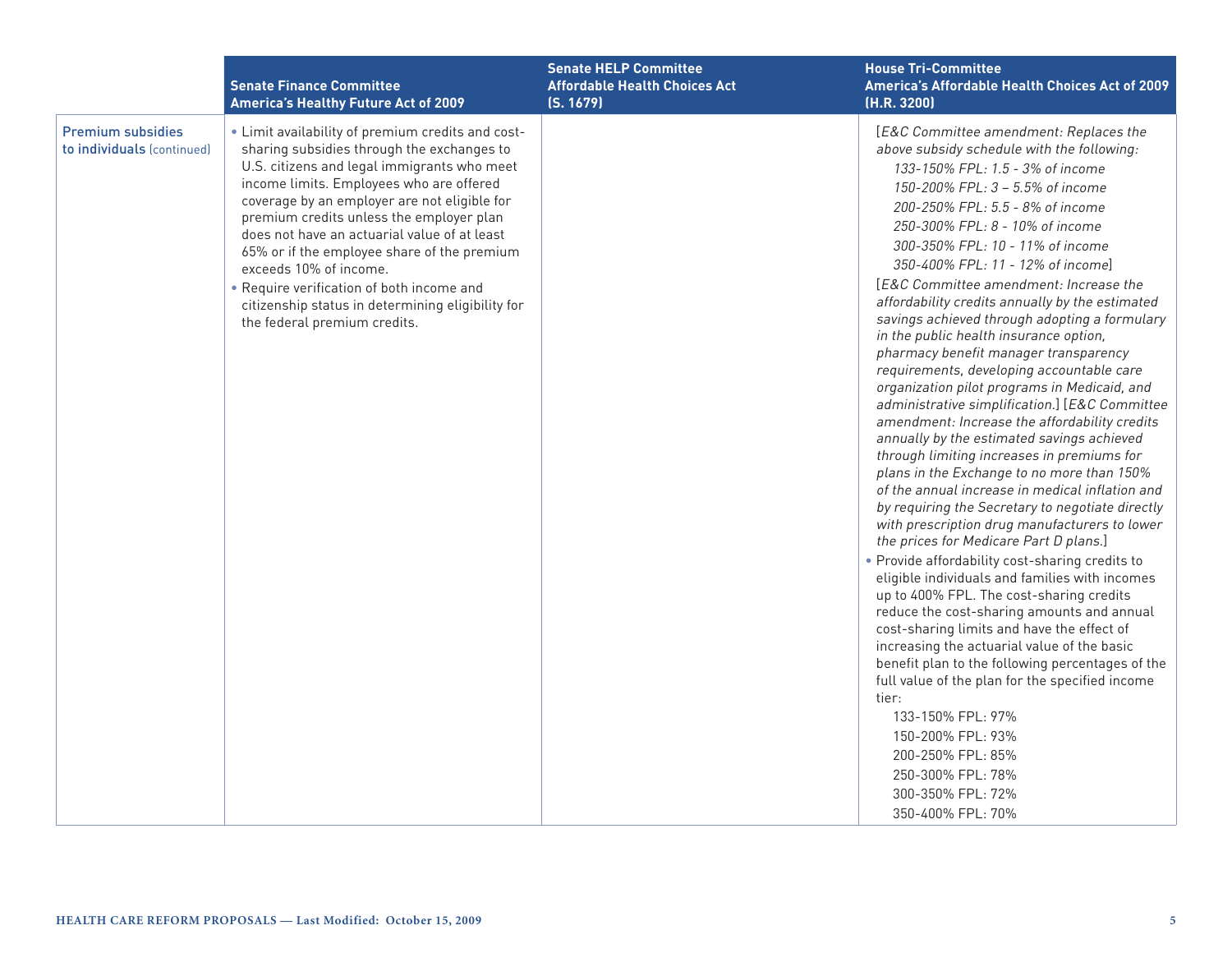|                                                        | <b>Senate Finance Committee</b><br><b>America's Healthy Future Act of 2009</b>                                                                                                                                                                                                                                                                                                                                                                                                                                                                    | <b>Senate HELP Committee</b><br><b>Affordable Health Choices Act</b><br>(S. 1679) | <b>House Tri-Committee</b><br>America's Affordable Health Choices Act of 2009<br>(H.R. 3200)                                                                                                                                                                                                                                                                                                                                                                                                                                                                                                                                                                                                                                                                                                                                                                                                                                                                                                                                                                                                                                                                                                                                                                                                                                                                                                                                                                                                                                                                                                                                        |
|--------------------------------------------------------|---------------------------------------------------------------------------------------------------------------------------------------------------------------------------------------------------------------------------------------------------------------------------------------------------------------------------------------------------------------------------------------------------------------------------------------------------------------------------------------------------------------------------------------------------|-----------------------------------------------------------------------------------|-------------------------------------------------------------------------------------------------------------------------------------------------------------------------------------------------------------------------------------------------------------------------------------------------------------------------------------------------------------------------------------------------------------------------------------------------------------------------------------------------------------------------------------------------------------------------------------------------------------------------------------------------------------------------------------------------------------------------------------------------------------------------------------------------------------------------------------------------------------------------------------------------------------------------------------------------------------------------------------------------------------------------------------------------------------------------------------------------------------------------------------------------------------------------------------------------------------------------------------------------------------------------------------------------------------------------------------------------------------------------------------------------------------------------------------------------------------------------------------------------------------------------------------------------------------------------------------------------------------------------------------|
| <b>Premium subsidies</b><br>to individuals (continued) | . Limit availability of premium credits and cost-<br>sharing subsidies through the exchanges to<br>U.S. citizens and legal immigrants who meet<br>income limits. Employees who are offered<br>coverage by an employer are not eligible for<br>premium credits unless the employer plan<br>does not have an actuarial value of at least<br>65% or if the employee share of the premium<br>exceeds 10% of income.<br>• Require verification of both income and<br>citizenship status in determining eligibility for<br>the federal premium credits. |                                                                                   | [E&C Committee amendment: Replaces the<br>above subsidy schedule with the following:<br>133-150% FPL: 1.5 - 3% of income<br>150-200% FPL: 3 - 5.5% of income<br>200-250% FPL: 5.5 - 8% of income<br>250-300% FPL: 8 - 10% of income<br>300-350% FPL: 10 - 11% of income<br>350-400% FPL: 11 - 12% of income]<br>[E&C Committee amendment: Increase the<br>affordability credits annually by the estimated<br>savings achieved through adopting a formulary<br>in the public health insurance option,<br>pharmacy benefit manager transparency<br>requirements, developing accountable care<br>organization pilot programs in Medicaid, and<br>administrative simplification.] [E&C Committee<br>amendment: Increase the affordability credits<br>annually by the estimated savings achieved<br>through limiting increases in premiums for<br>plans in the Exchange to no more than 150%<br>of the annual increase in medical inflation and<br>by requiring the Secretary to negotiate directly<br>with prescription drug manufacturers to lower<br>the prices for Medicare Part D plans.]<br>. Provide affordability cost-sharing credits to<br>eligible individuals and families with incomes<br>up to 400% FPL. The cost-sharing credits<br>reduce the cost-sharing amounts and annual<br>cost-sharing limits and have the effect of<br>increasing the actuarial value of the basic<br>benefit plan to the following percentages of the<br>full value of the plan for the specified income<br>tier:<br>133-150% FPL: 97%<br>150-200% FPL: 93%<br>200-250% FPL: 85%<br>250-300% FPL: 78%<br>300-350% FPL: 72%<br>350-400% FPL: 70% |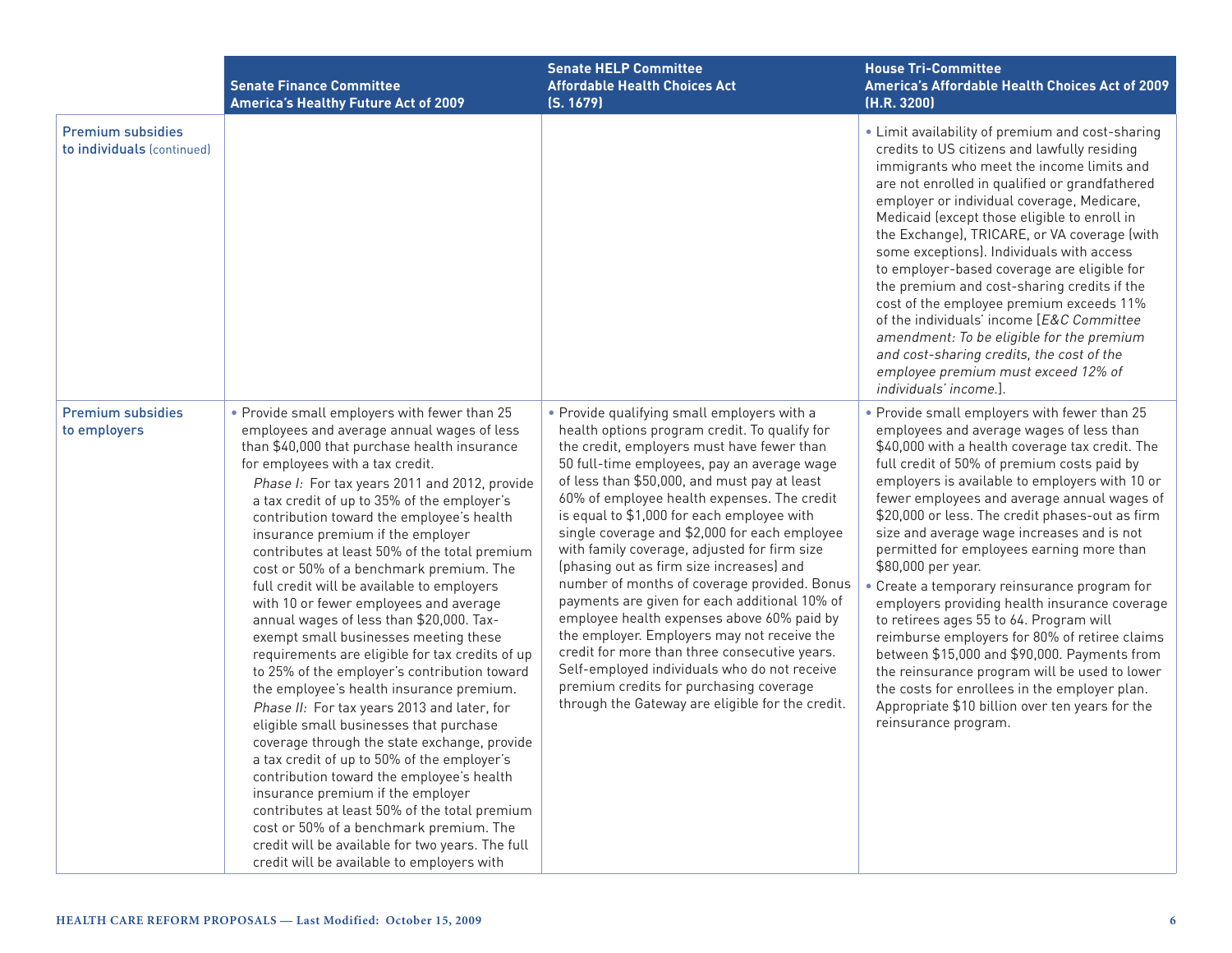|                                                        | <b>Senate Finance Committee</b><br><b>America's Healthy Future Act of 2009</b>                                                                                                                                                                                                                                                                                                                                                                                                                                                                                                                                                                                                                                                                                                                                                                                                                                                                                                                                                                                                                                                                                                                                                                                    | <b>Senate HELP Committee</b><br><b>Affordable Health Choices Act</b><br>(S. 1679)                                                                                                                                                                                                                                                                                                                                                                                                                                                                                                                                                                                                                                                                                                                                                                                                 | <b>House Tri-Committee</b><br>America's Affordable Health Choices Act of 2009<br>(H.R. 3200)                                                                                                                                                                                                                                                                                                                                                                                                                                                                                                                                                                                                                                                                                                                                                                                              |
|--------------------------------------------------------|-------------------------------------------------------------------------------------------------------------------------------------------------------------------------------------------------------------------------------------------------------------------------------------------------------------------------------------------------------------------------------------------------------------------------------------------------------------------------------------------------------------------------------------------------------------------------------------------------------------------------------------------------------------------------------------------------------------------------------------------------------------------------------------------------------------------------------------------------------------------------------------------------------------------------------------------------------------------------------------------------------------------------------------------------------------------------------------------------------------------------------------------------------------------------------------------------------------------------------------------------------------------|-----------------------------------------------------------------------------------------------------------------------------------------------------------------------------------------------------------------------------------------------------------------------------------------------------------------------------------------------------------------------------------------------------------------------------------------------------------------------------------------------------------------------------------------------------------------------------------------------------------------------------------------------------------------------------------------------------------------------------------------------------------------------------------------------------------------------------------------------------------------------------------|-------------------------------------------------------------------------------------------------------------------------------------------------------------------------------------------------------------------------------------------------------------------------------------------------------------------------------------------------------------------------------------------------------------------------------------------------------------------------------------------------------------------------------------------------------------------------------------------------------------------------------------------------------------------------------------------------------------------------------------------------------------------------------------------------------------------------------------------------------------------------------------------|
| <b>Premium subsidies</b><br>to individuals (continued) |                                                                                                                                                                                                                                                                                                                                                                                                                                                                                                                                                                                                                                                                                                                                                                                                                                                                                                                                                                                                                                                                                                                                                                                                                                                                   |                                                                                                                                                                                                                                                                                                                                                                                                                                                                                                                                                                                                                                                                                                                                                                                                                                                                                   | • Limit availability of premium and cost-sharing<br>credits to US citizens and lawfully residing<br>immigrants who meet the income limits and<br>are not enrolled in qualified or grandfathered<br>employer or individual coverage, Medicare,<br>Medicaid (except those eligible to enroll in<br>the Exchange), TRICARE, or VA coverage (with<br>some exceptions). Individuals with access<br>to employer-based coverage are eligible for<br>the premium and cost-sharing credits if the<br>cost of the employee premium exceeds 11%<br>of the individuals' income [E&C Committee<br>amendment: To be eligible for the premium<br>and cost-sharing credits, the cost of the<br>employee premium must exceed 12% of<br>individuals' income.].                                                                                                                                              |
| <b>Premium subsidies</b><br>to employers               | . Provide small employers with fewer than 25<br>employees and average annual wages of less<br>than \$40,000 that purchase health insurance<br>for employees with a tax credit.<br>Phase I: For tax years 2011 and 2012, provide<br>a tax credit of up to 35% of the employer's<br>contribution toward the employee's health<br>insurance premium if the employer<br>contributes at least 50% of the total premium<br>cost or 50% of a benchmark premium. The<br>full credit will be available to employers<br>with 10 or fewer employees and average<br>annual wages of less than \$20,000. Tax-<br>exempt small businesses meeting these<br>requirements are eligible for tax credits of up<br>to 25% of the employer's contribution toward<br>the employee's health insurance premium.<br>Phase II: For tax years 2013 and later, for<br>eligible small businesses that purchase<br>coverage through the state exchange, provide<br>a tax credit of up to 50% of the employer's<br>contribution toward the employee's health<br>insurance premium if the employer<br>contributes at least 50% of the total premium<br>cost or 50% of a benchmark premium. The<br>credit will be available for two years. The full<br>credit will be available to employers with | • Provide qualifying small employers with a<br>health options program credit. To qualify for<br>the credit, employers must have fewer than<br>50 full-time employees, pay an average wage<br>of less than \$50,000, and must pay at least<br>60% of employee health expenses. The credit<br>is equal to \$1,000 for each employee with<br>single coverage and \$2,000 for each employee<br>with family coverage, adjusted for firm size<br>(phasing out as firm size increases) and<br>number of months of coverage provided. Bonus<br>payments are given for each additional 10% of<br>employee health expenses above 60% paid by<br>the employer. Employers may not receive the<br>credit for more than three consecutive years.<br>Self-employed individuals who do not receive<br>premium credits for purchasing coverage<br>through the Gateway are eligible for the credit. | . Provide small employers with fewer than 25<br>employees and average wages of less than<br>\$40,000 with a health coverage tax credit. The<br>full credit of 50% of premium costs paid by<br>employers is available to employers with 10 or<br>fewer employees and average annual wages of<br>\$20,000 or less. The credit phases-out as firm<br>size and average wage increases and is not<br>permitted for employees earning more than<br>\$80,000 per year.<br>• Create a temporary reinsurance program for<br>employers providing health insurance coverage<br>to retirees ages 55 to 64. Program will<br>reimburse employers for 80% of retiree claims<br>between \$15,000 and \$90,000. Payments from<br>the reinsurance program will be used to lower<br>the costs for enrollees in the employer plan.<br>Appropriate \$10 billion over ten years for the<br>reinsurance program. |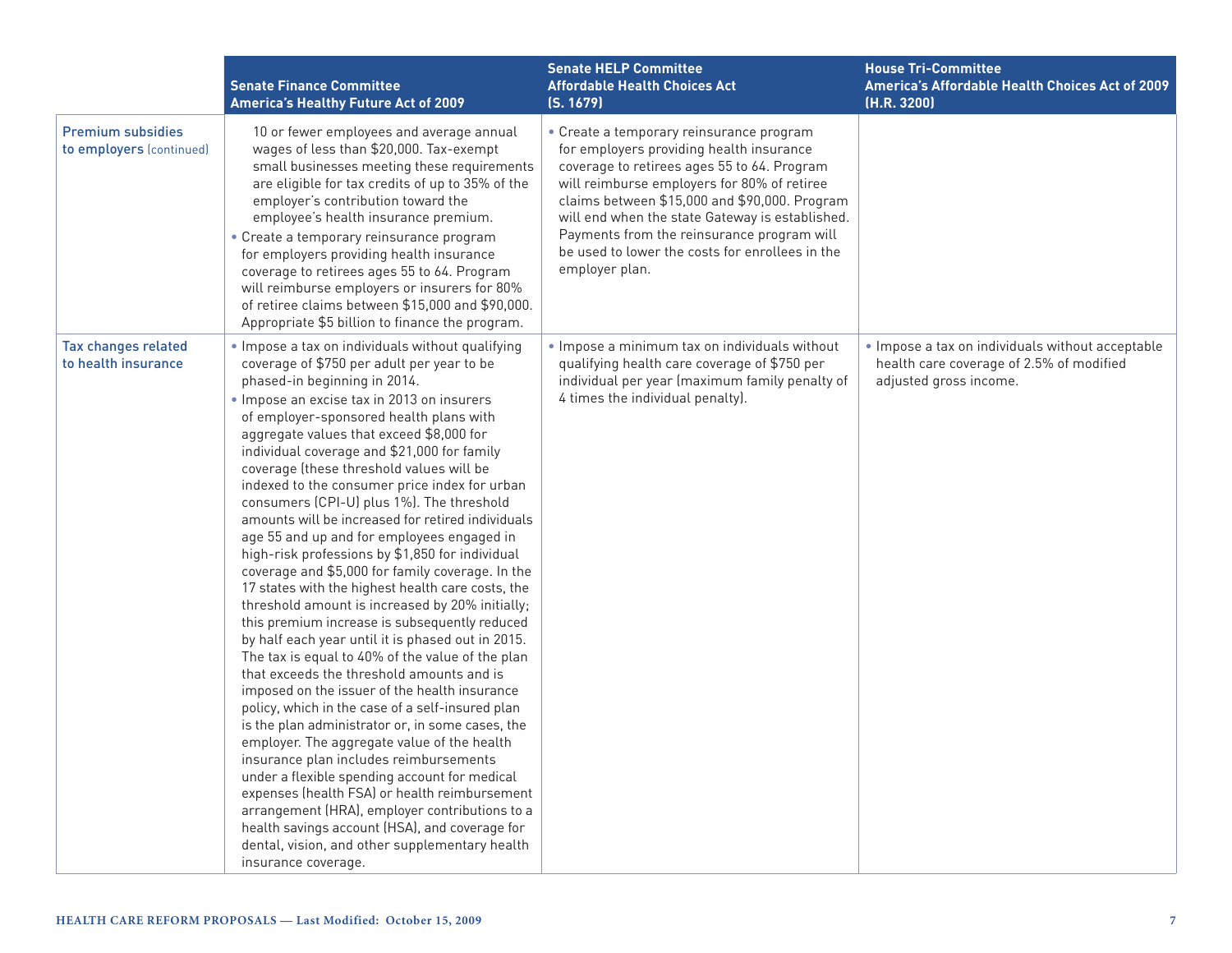|                                                      | <b>Senate Finance Committee</b><br><b>America's Healthy Future Act of 2009</b>                                                                                                                                                                                                                                                                                                                                                                                                                                                                                                                                                                                                                                                                                                                                                                                                                                                                                                                                                                                                                                                                                                                                                                                                                                                                                                                                                                                                                                         | <b>Senate HELP Committee</b><br><b>Affordable Health Choices Act</b><br>(S. 1679)                                                                                                                                                                                                                                                                                                                         | <b>House Tri-Committee</b><br>America's Affordable Health Choices Act of 2009<br>(H.R. 3200)                           |
|------------------------------------------------------|------------------------------------------------------------------------------------------------------------------------------------------------------------------------------------------------------------------------------------------------------------------------------------------------------------------------------------------------------------------------------------------------------------------------------------------------------------------------------------------------------------------------------------------------------------------------------------------------------------------------------------------------------------------------------------------------------------------------------------------------------------------------------------------------------------------------------------------------------------------------------------------------------------------------------------------------------------------------------------------------------------------------------------------------------------------------------------------------------------------------------------------------------------------------------------------------------------------------------------------------------------------------------------------------------------------------------------------------------------------------------------------------------------------------------------------------------------------------------------------------------------------------|-----------------------------------------------------------------------------------------------------------------------------------------------------------------------------------------------------------------------------------------------------------------------------------------------------------------------------------------------------------------------------------------------------------|------------------------------------------------------------------------------------------------------------------------|
| <b>Premium subsidies</b><br>to employers (continued) | 10 or fewer employees and average annual<br>wages of less than \$20,000. Tax-exempt<br>small businesses meeting these requirements<br>are eligible for tax credits of up to 35% of the<br>employer's contribution toward the<br>employee's health insurance premium.<br>• Create a temporary reinsurance program<br>for employers providing health insurance<br>coverage to retirees ages 55 to 64. Program<br>will reimburse employers or insurers for 80%<br>of retiree claims between \$15,000 and \$90,000.<br>Appropriate \$5 billion to finance the program.                                                                                                                                                                                                                                                                                                                                                                                                                                                                                                                                                                                                                                                                                                                                                                                                                                                                                                                                                     | • Create a temporary reinsurance program<br>for employers providing health insurance<br>coverage to retirees ages 55 to 64. Program<br>will reimburse employers for 80% of retiree<br>claims between \$15,000 and \$90,000. Program<br>will end when the state Gateway is established.<br>Payments from the reinsurance program will<br>be used to lower the costs for enrollees in the<br>employer plan. |                                                                                                                        |
| Tax changes related<br>to health insurance           | . Impose a tax on individuals without qualifying<br>coverage of \$750 per adult per year to be<br>phased-in beginning in 2014.<br>· Impose an excise tax in 2013 on insurers<br>of employer-sponsored health plans with<br>aggregate values that exceed \$8,000 for<br>individual coverage and \$21,000 for family<br>coverage (these threshold values will be<br>indexed to the consumer price index for urban<br>consumers (CPI-U) plus 1%). The threshold<br>amounts will be increased for retired individuals<br>age 55 and up and for employees engaged in<br>high-risk professions by \$1,850 for individual<br>coverage and \$5,000 for family coverage. In the<br>17 states with the highest health care costs, the<br>threshold amount is increased by 20% initially;<br>this premium increase is subsequently reduced<br>by half each year until it is phased out in 2015.<br>The tax is equal to 40% of the value of the plan<br>that exceeds the threshold amounts and is<br>imposed on the issuer of the health insurance<br>policy, which in the case of a self-insured plan<br>is the plan administrator or, in some cases, the<br>employer. The aggregate value of the health<br>insurance plan includes reimbursements<br>under a flexible spending account for medical<br>expenses (health FSA) or health reimbursement<br>arrangement (HRA), employer contributions to a<br>health savings account (HSA), and coverage for<br>dental, vision, and other supplementary health<br>insurance coverage. | . Impose a minimum tax on individuals without<br>qualifying health care coverage of \$750 per<br>individual per year (maximum family penalty of<br>4 times the individual penalty).                                                                                                                                                                                                                       | . Impose a tax on individuals without acceptable<br>health care coverage of 2.5% of modified<br>adjusted gross income. |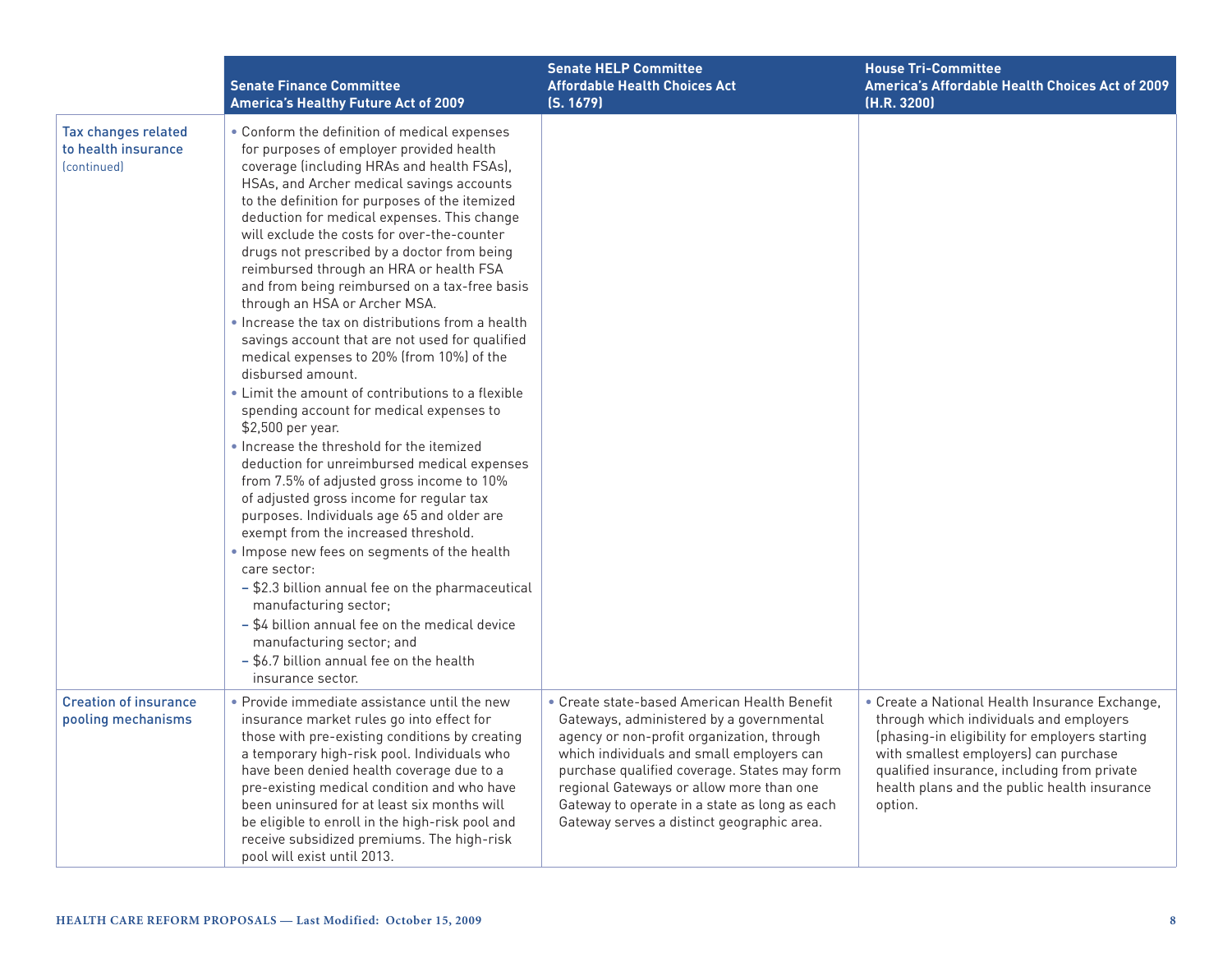|                                                                              | <b>Senate Finance Committee</b><br>America's Healthy Future Act of 2009                                                                                                                                                                                                                                                                                                                                                                                                                                                                                                                                                                                                                                                                                                                                                                                                                                                                                                                                                                                                                                                                                                                                                                                                                                                                                                                | <b>Senate HELP Committee</b><br><b>Affordable Health Choices Act</b><br>(S. 1679)                                                                                                                                                                                                                                                                                              | <b>House Tri-Committee</b><br>America's Affordable Health Choices Act of 2009<br>(H.R. 3200)                                                                                                                                                                                                   |
|------------------------------------------------------------------------------|----------------------------------------------------------------------------------------------------------------------------------------------------------------------------------------------------------------------------------------------------------------------------------------------------------------------------------------------------------------------------------------------------------------------------------------------------------------------------------------------------------------------------------------------------------------------------------------------------------------------------------------------------------------------------------------------------------------------------------------------------------------------------------------------------------------------------------------------------------------------------------------------------------------------------------------------------------------------------------------------------------------------------------------------------------------------------------------------------------------------------------------------------------------------------------------------------------------------------------------------------------------------------------------------------------------------------------------------------------------------------------------|--------------------------------------------------------------------------------------------------------------------------------------------------------------------------------------------------------------------------------------------------------------------------------------------------------------------------------------------------------------------------------|------------------------------------------------------------------------------------------------------------------------------------------------------------------------------------------------------------------------------------------------------------------------------------------------|
| Tax changes related<br>to health insurance<br><i><u><b>Continued</b></u></i> | • Conform the definition of medical expenses<br>for purposes of employer provided health<br>coverage (including HRAs and health FSAs),<br>HSAs, and Archer medical savings accounts<br>to the definition for purposes of the itemized<br>deduction for medical expenses. This change<br>will exclude the costs for over-the-counter<br>drugs not prescribed by a doctor from being<br>reimbursed through an HRA or health FSA<br>and from being reimbursed on a tax-free basis<br>through an HSA or Archer MSA.<br>. Increase the tax on distributions from a health<br>savings account that are not used for qualified<br>medical expenses to 20% (from 10%) of the<br>disbursed amount.<br>• Limit the amount of contributions to a flexible<br>spending account for medical expenses to<br>\$2,500 per year.<br>• Increase the threshold for the itemized<br>deduction for unreimbursed medical expenses<br>from 7.5% of adjusted gross income to 10%<br>of adjusted gross income for regular tax<br>purposes. Individuals age 65 and older are<br>exempt from the increased threshold.<br>. Impose new fees on segments of the health<br>care sector:<br>- \$2.3 billion annual fee on the pharmaceutical<br>manufacturing sector;<br>- \$4 billion annual fee on the medical device<br>manufacturing sector; and<br>- \$6.7 billion annual fee on the health<br>insurance sector. |                                                                                                                                                                                                                                                                                                                                                                                |                                                                                                                                                                                                                                                                                                |
| <b>Creation of insurance</b><br>pooling mechanisms                           | • Provide immediate assistance until the new<br>insurance market rules go into effect for<br>those with pre-existing conditions by creating<br>a temporary high-risk pool. Individuals who<br>have been denied health coverage due to a<br>pre-existing medical condition and who have<br>been uninsured for at least six months will<br>be eligible to enroll in the high-risk pool and<br>receive subsidized premiums. The high-risk<br>pool will exist until 2013.                                                                                                                                                                                                                                                                                                                                                                                                                                                                                                                                                                                                                                                                                                                                                                                                                                                                                                                  | • Create state-based American Health Benefit<br>Gateways, administered by a governmental<br>agency or non-profit organization, through<br>which individuals and small employers can<br>purchase qualified coverage. States may form<br>regional Gateways or allow more than one<br>Gateway to operate in a state as long as each<br>Gateway serves a distinct geographic area. | • Create a National Health Insurance Exchange,<br>through which individuals and employers<br>(phasing-in eligibility for employers starting<br>with smallest employers) can purchase<br>qualified insurance, including from private<br>health plans and the public health insurance<br>option. |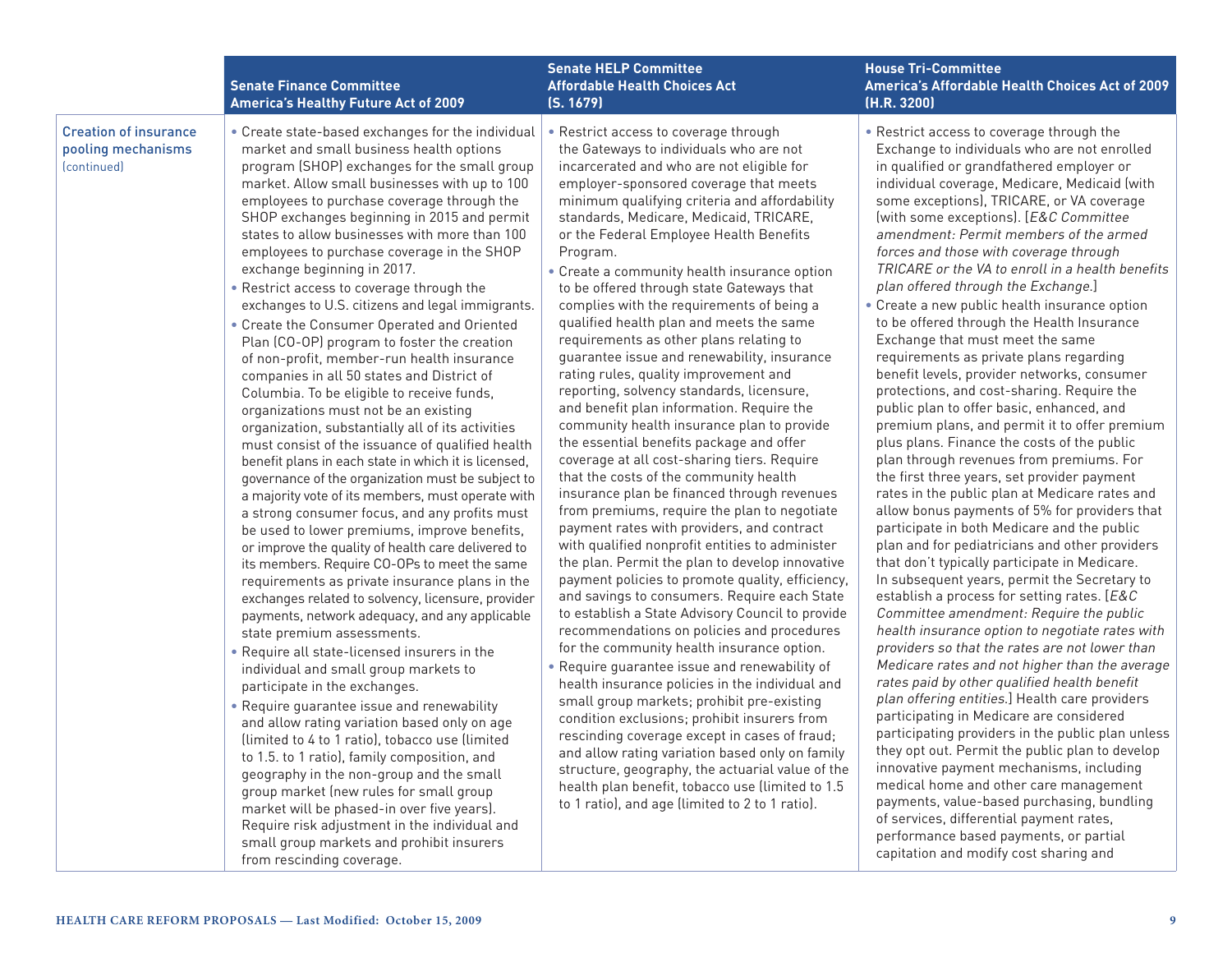|                                                                   | <b>Senate Finance Committee</b><br><b>America's Healthy Future Act of 2009</b>                                                                                                                                                                                                                                                                                                                                                                                                                                                                                                                                                                                                                                                                                                                                                                                                                                                                                                                                                                                                                                                                                                                                                                                                                                                                                                                                                                                                                                                                                                                                                                                                                                                                                                                                                                                                                                                                                                                                                                                                   | <b>Senate HELP Committee</b><br><b>Affordable Health Choices Act</b><br>(S. 1679)                                                                                                                                                                                                                                                                                                                                                                                                                                                                                                                                                                                                                                                                                                                                                                                                                                                                                                                                                                                                                                                                                                                                                                                                                                                                                                                                                                                                                                                                                                                                                                                                                                                                                                                                                                                                                        | <b>House Tri-Committee</b><br>America's Affordable Health Choices Act of 2009<br>(H.R. 3200)                                                                                                                                                                                                                                                                                                                                                                                                                                                                                                                                                                                                                                                                                                                                                                                                                                                                                                                                                                                                                                                                                                                                                                                                                                                                                                                                                                                                                                                                                                                                                                                                                                                                                                                                                                                                                                                                                                                                                                     |
|-------------------------------------------------------------------|----------------------------------------------------------------------------------------------------------------------------------------------------------------------------------------------------------------------------------------------------------------------------------------------------------------------------------------------------------------------------------------------------------------------------------------------------------------------------------------------------------------------------------------------------------------------------------------------------------------------------------------------------------------------------------------------------------------------------------------------------------------------------------------------------------------------------------------------------------------------------------------------------------------------------------------------------------------------------------------------------------------------------------------------------------------------------------------------------------------------------------------------------------------------------------------------------------------------------------------------------------------------------------------------------------------------------------------------------------------------------------------------------------------------------------------------------------------------------------------------------------------------------------------------------------------------------------------------------------------------------------------------------------------------------------------------------------------------------------------------------------------------------------------------------------------------------------------------------------------------------------------------------------------------------------------------------------------------------------------------------------------------------------------------------------------------------------|----------------------------------------------------------------------------------------------------------------------------------------------------------------------------------------------------------------------------------------------------------------------------------------------------------------------------------------------------------------------------------------------------------------------------------------------------------------------------------------------------------------------------------------------------------------------------------------------------------------------------------------------------------------------------------------------------------------------------------------------------------------------------------------------------------------------------------------------------------------------------------------------------------------------------------------------------------------------------------------------------------------------------------------------------------------------------------------------------------------------------------------------------------------------------------------------------------------------------------------------------------------------------------------------------------------------------------------------------------------------------------------------------------------------------------------------------------------------------------------------------------------------------------------------------------------------------------------------------------------------------------------------------------------------------------------------------------------------------------------------------------------------------------------------------------------------------------------------------------------------------------------------------------|------------------------------------------------------------------------------------------------------------------------------------------------------------------------------------------------------------------------------------------------------------------------------------------------------------------------------------------------------------------------------------------------------------------------------------------------------------------------------------------------------------------------------------------------------------------------------------------------------------------------------------------------------------------------------------------------------------------------------------------------------------------------------------------------------------------------------------------------------------------------------------------------------------------------------------------------------------------------------------------------------------------------------------------------------------------------------------------------------------------------------------------------------------------------------------------------------------------------------------------------------------------------------------------------------------------------------------------------------------------------------------------------------------------------------------------------------------------------------------------------------------------------------------------------------------------------------------------------------------------------------------------------------------------------------------------------------------------------------------------------------------------------------------------------------------------------------------------------------------------------------------------------------------------------------------------------------------------------------------------------------------------------------------------------------------------|
| <b>Creation of insurance</b><br>pooling mechanisms<br>(continued) | • Create state-based exchanges for the individual<br>market and small business health options<br>program (SHOP) exchanges for the small group<br>market. Allow small businesses with up to 100<br>employees to purchase coverage through the<br>SHOP exchanges beginning in 2015 and permit<br>states to allow businesses with more than 100<br>employees to purchase coverage in the SHOP<br>exchange beginning in 2017.<br>• Restrict access to coverage through the<br>exchanges to U.S. citizens and legal immigrants.<br>• Create the Consumer Operated and Oriented<br>Plan (CO-OP) program to foster the creation<br>of non-profit, member-run health insurance<br>companies in all 50 states and District of<br>Columbia. To be eligible to receive funds,<br>organizations must not be an existing<br>organization, substantially all of its activities<br>must consist of the issuance of qualified health<br>benefit plans in each state in which it is licensed,<br>governance of the organization must be subject to<br>a majority vote of its members, must operate with<br>a strong consumer focus, and any profits must<br>be used to lower premiums, improve benefits,<br>or improve the quality of health care delivered to<br>its members. Require CO-OPs to meet the same<br>requirements as private insurance plans in the<br>exchanges related to solvency, licensure, provider<br>payments, network adequacy, and any applicable<br>state premium assessments.<br>• Require all state-licensed insurers in the<br>individual and small group markets to<br>participate in the exchanges.<br>• Require guarantee issue and renewability<br>and allow rating variation based only on age<br>(limited to 4 to 1 ratio), tobacco use (limited<br>to 1.5. to 1 ratio), family composition, and<br>geography in the non-group and the small<br>group market (new rules for small group<br>market will be phased-in over five years).<br>Require risk adjustment in the individual and<br>small group markets and prohibit insurers<br>from rescinding coverage. | • Restrict access to coverage through<br>the Gateways to individuals who are not<br>incarcerated and who are not eligible for<br>employer-sponsored coverage that meets<br>minimum qualifying criteria and affordability<br>standards, Medicare, Medicaid, TRICARE,<br>or the Federal Employee Health Benefits<br>Program.<br>• Create a community health insurance option<br>to be offered through state Gateways that<br>complies with the requirements of being a<br>qualified health plan and meets the same<br>requirements as other plans relating to<br>guarantee issue and renewability, insurance<br>rating rules, quality improvement and<br>reporting, solvency standards, licensure,<br>and benefit plan information. Require the<br>community health insurance plan to provide<br>the essential benefits package and offer<br>coverage at all cost-sharing tiers. Require<br>that the costs of the community health<br>insurance plan be financed through revenues<br>from premiums, require the plan to negotiate<br>payment rates with providers, and contract<br>with qualified nonprofit entities to administer<br>the plan. Permit the plan to develop innovative<br>payment policies to promote quality, efficiency,<br>and savings to consumers. Require each State<br>to establish a State Advisory Council to provide<br>recommendations on policies and procedures<br>for the community health insurance option.<br>. Require guarantee issue and renewability of<br>health insurance policies in the individual and<br>small group markets; prohibit pre-existing<br>condition exclusions; prohibit insurers from<br>rescinding coverage except in cases of fraud;<br>and allow rating variation based only on family<br>structure, geography, the actuarial value of the<br>health plan benefit, tobacco use (limited to 1.5<br>to 1 ratio), and age (limited to 2 to 1 ratio). | . Restrict access to coverage through the<br>Exchange to individuals who are not enrolled<br>in qualified or grandfathered employer or<br>individual coverage, Medicare, Medicaid (with<br>some exceptions), TRICARE, or VA coverage<br>(with some exceptions). [E&C Committee<br>amendment: Permit members of the armed<br>forces and those with coverage through<br>TRICARE or the VA to enroll in a health benefits<br>plan offered through the Exchange.]<br>• Create a new public health insurance option<br>to be offered through the Health Insurance<br>Exchange that must meet the same<br>requirements as private plans regarding<br>benefit levels, provider networks, consumer<br>protections, and cost-sharing. Require the<br>public plan to offer basic, enhanced, and<br>premium plans, and permit it to offer premium<br>plus plans. Finance the costs of the public<br>plan through revenues from premiums. For<br>the first three years, set provider payment<br>rates in the public plan at Medicare rates and<br>allow bonus payments of 5% for providers that<br>participate in both Medicare and the public<br>plan and for pediatricians and other providers<br>that don't typically participate in Medicare.<br>In subsequent years, permit the Secretary to<br>establish a process for setting rates. [E&C<br>Committee amendment: Require the public<br>health insurance option to negotiate rates with<br>providers so that the rates are not lower than<br>Medicare rates and not higher than the average<br>rates paid by other qualified health benefit<br>plan offering entities.] Health care providers<br>participating in Medicare are considered<br>participating providers in the public plan unless<br>they opt out. Permit the public plan to develop<br>innovative payment mechanisms, including<br>medical home and other care management<br>payments, value-based purchasing, bundling<br>of services, differential payment rates,<br>performance based payments, or partial<br>capitation and modify cost sharing and |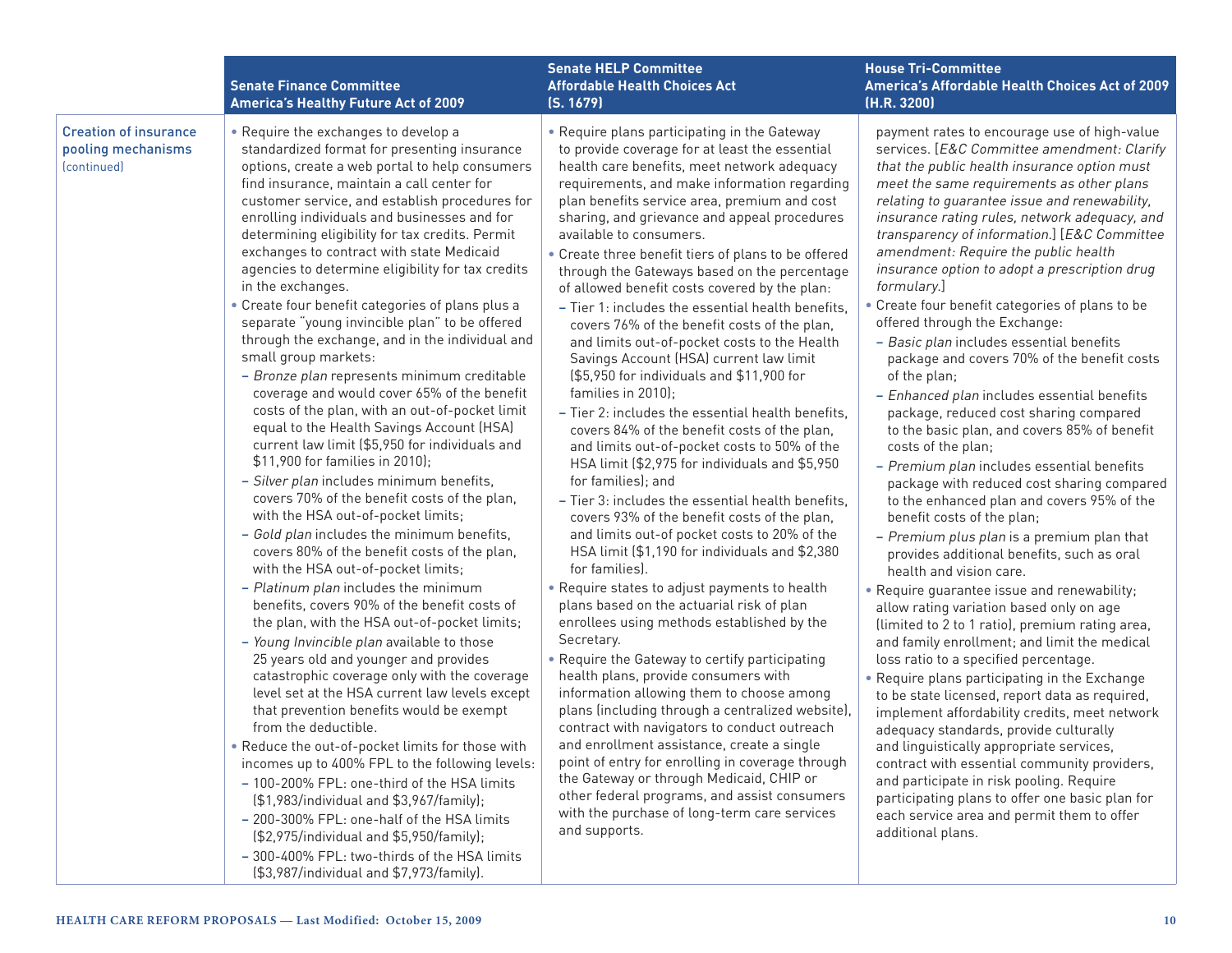|                                                                   | <b>Senate Finance Committee</b><br><b>America's Healthy Future Act of 2009</b>                                                                                                                                                                                                                                                                                                                                                                                                                                                                                                                                                                                                                                                                                                                                                                                                                                                                                                                                                                                                                                                                                                                                                                                                                                                                                                                                                                                                                                                                                                                                                                                                                                                                                                                                                                                                                                                                                                                         | <b>Senate HELP Committee</b><br><b>Affordable Health Choices Act</b><br>(S. 1679)                                                                                                                                                                                                                                                                                                                                                                                                                                                                                                                                                                                                                                                                                                                                                                                                                                                                                                                                                                                                                                                                                                                                                                                                                                                                                                                                                                                                                                                                                                                                                                                                                                                                                                                                                                                             | <b>House Tri-Committee</b><br>America's Affordable Health Choices Act of 2009<br>(H.R. 3200)                                                                                                                                                                                                                                                                                                                                                                                                                                                                                                                                                                                                                                                                                                                                                                                                                                                                                                                                                                                                                                                                                                                                                                                                                                                                                                                                                                                                                                                                                                                                                                                                                                                                                                                       |
|-------------------------------------------------------------------|--------------------------------------------------------------------------------------------------------------------------------------------------------------------------------------------------------------------------------------------------------------------------------------------------------------------------------------------------------------------------------------------------------------------------------------------------------------------------------------------------------------------------------------------------------------------------------------------------------------------------------------------------------------------------------------------------------------------------------------------------------------------------------------------------------------------------------------------------------------------------------------------------------------------------------------------------------------------------------------------------------------------------------------------------------------------------------------------------------------------------------------------------------------------------------------------------------------------------------------------------------------------------------------------------------------------------------------------------------------------------------------------------------------------------------------------------------------------------------------------------------------------------------------------------------------------------------------------------------------------------------------------------------------------------------------------------------------------------------------------------------------------------------------------------------------------------------------------------------------------------------------------------------------------------------------------------------------------------------------------------------|-------------------------------------------------------------------------------------------------------------------------------------------------------------------------------------------------------------------------------------------------------------------------------------------------------------------------------------------------------------------------------------------------------------------------------------------------------------------------------------------------------------------------------------------------------------------------------------------------------------------------------------------------------------------------------------------------------------------------------------------------------------------------------------------------------------------------------------------------------------------------------------------------------------------------------------------------------------------------------------------------------------------------------------------------------------------------------------------------------------------------------------------------------------------------------------------------------------------------------------------------------------------------------------------------------------------------------------------------------------------------------------------------------------------------------------------------------------------------------------------------------------------------------------------------------------------------------------------------------------------------------------------------------------------------------------------------------------------------------------------------------------------------------------------------------------------------------------------------------------------------------|--------------------------------------------------------------------------------------------------------------------------------------------------------------------------------------------------------------------------------------------------------------------------------------------------------------------------------------------------------------------------------------------------------------------------------------------------------------------------------------------------------------------------------------------------------------------------------------------------------------------------------------------------------------------------------------------------------------------------------------------------------------------------------------------------------------------------------------------------------------------------------------------------------------------------------------------------------------------------------------------------------------------------------------------------------------------------------------------------------------------------------------------------------------------------------------------------------------------------------------------------------------------------------------------------------------------------------------------------------------------------------------------------------------------------------------------------------------------------------------------------------------------------------------------------------------------------------------------------------------------------------------------------------------------------------------------------------------------------------------------------------------------------------------------------------------------|
| <b>Creation of insurance</b><br>pooling mechanisms<br>(continued) | • Require the exchanges to develop a<br>standardized format for presenting insurance<br>options, create a web portal to help consumers<br>find insurance, maintain a call center for<br>customer service, and establish procedures for<br>enrolling individuals and businesses and for<br>determining eligibility for tax credits. Permit<br>exchanges to contract with state Medicaid<br>agencies to determine eligibility for tax credits<br>in the exchanges.<br>• Create four benefit categories of plans plus a<br>separate "young invincible plan" to be offered<br>through the exchange, and in the individual and<br>small group markets:<br>- Bronze plan represents minimum creditable<br>coverage and would cover 65% of the benefit<br>costs of the plan, with an out-of-pocket limit<br>equal to the Health Savings Account (HSA)<br>current law limit (\$5,950 for individuals and<br>\$11,900 for families in 2010);<br>- Silver plan includes minimum benefits,<br>covers 70% of the benefit costs of the plan,<br>with the HSA out-of-pocket limits;<br>- Gold plan includes the minimum benefits,<br>covers 80% of the benefit costs of the plan,<br>with the HSA out-of-pocket limits;<br>- Platinum plan includes the minimum<br>benefits, covers 90% of the benefit costs of<br>the plan, with the HSA out-of-pocket limits;<br>- Young Invincible plan available to those<br>25 years old and younger and provides<br>catastrophic coverage only with the coverage<br>level set at the HSA current law levels except<br>that prevention benefits would be exempt<br>from the deductible.<br>• Reduce the out-of-pocket limits for those with<br>incomes up to 400% FPL to the following levels:<br>- 100-200% FPL: one-third of the HSA limits<br>(\$1,983/individual and \$3,967/family);<br>- 200-300% FPL: one-half of the HSA limits<br>(\$2,975/individual and \$5,950/family);<br>- 300-400% FPL: two-thirds of the HSA limits<br>(\$3,987/individual and \$7,973/family). | • Require plans participating in the Gateway<br>to provide coverage for at least the essential<br>health care benefits, meet network adequacy<br>requirements, and make information regarding<br>plan benefits service area, premium and cost<br>sharing, and grievance and appeal procedures<br>available to consumers.<br>• Create three benefit tiers of plans to be offered<br>through the Gateways based on the percentage<br>of allowed benefit costs covered by the plan:<br>- Tier 1: includes the essential health benefits,<br>covers 76% of the benefit costs of the plan,<br>and limits out-of-pocket costs to the Health<br>Savings Account (HSA) current law limit<br>(\$5,950 for individuals and \$11,900 for<br>families in 2010);<br>- Tier 2: includes the essential health benefits,<br>covers 84% of the benefit costs of the plan,<br>and limits out-of-pocket costs to 50% of the<br>HSA limit (\$2,975 for individuals and \$5,950<br>for families); and<br>- Tier 3: includes the essential health benefits,<br>covers 93% of the benefit costs of the plan,<br>and limits out-of pocket costs to 20% of the<br>HSA limit (\$1,190 for individuals and \$2,380<br>for families).<br>• Require states to adjust payments to health<br>plans based on the actuarial risk of plan<br>enrollees using methods established by the<br>Secretary.<br>• Require the Gateway to certify participating<br>health plans, provide consumers with<br>information allowing them to choose among<br>plans (including through a centralized website),<br>contract with navigators to conduct outreach<br>and enrollment assistance, create a single<br>point of entry for enrolling in coverage through<br>the Gateway or through Medicaid, CHIP or<br>other federal programs, and assist consumers<br>with the purchase of long-term care services<br>and supports. | payment rates to encourage use of high-value<br>services. [E&C Committee amendment: Clarify<br>that the public health insurance option must<br>meet the same requirements as other plans<br>relating to guarantee issue and renewability,<br>insurance rating rules, network adequacy, and<br>transparency of information.] [E&C Committee<br>amendment: Require the public health<br>insurance option to adopt a prescription drug<br>formulary.]<br>• Create four benefit categories of plans to be<br>offered through the Exchange:<br>- Basic plan includes essential benefits<br>package and covers 70% of the benefit costs<br>of the plan;<br>- Enhanced plan includes essential benefits<br>package, reduced cost sharing compared<br>to the basic plan, and covers 85% of benefit<br>costs of the plan;<br>- Premium plan includes essential benefits<br>package with reduced cost sharing compared<br>to the enhanced plan and covers 95% of the<br>benefit costs of the plan;<br>- Premium plus plan is a premium plan that<br>provides additional benefits, such as oral<br>health and vision care.<br>• Require guarantee issue and renewability;<br>allow rating variation based only on age<br>(limited to 2 to 1 ratio), premium rating area,<br>and family enrollment; and limit the medical<br>loss ratio to a specified percentage.<br>• Require plans participating in the Exchange<br>to be state licensed, report data as required,<br>implement affordability credits, meet network<br>adequacy standards, provide culturally<br>and linguistically appropriate services,<br>contract with essential community providers,<br>and participate in risk pooling. Require<br>participating plans to offer one basic plan for<br>each service area and permit them to offer<br>additional plans. |
|                                                                   |                                                                                                                                                                                                                                                                                                                                                                                                                                                                                                                                                                                                                                                                                                                                                                                                                                                                                                                                                                                                                                                                                                                                                                                                                                                                                                                                                                                                                                                                                                                                                                                                                                                                                                                                                                                                                                                                                                                                                                                                        |                                                                                                                                                                                                                                                                                                                                                                                                                                                                                                                                                                                                                                                                                                                                                                                                                                                                                                                                                                                                                                                                                                                                                                                                                                                                                                                                                                                                                                                                                                                                                                                                                                                                                                                                                                                                                                                                               |                                                                                                                                                                                                                                                                                                                                                                                                                                                                                                                                                                                                                                                                                                                                                                                                                                                                                                                                                                                                                                                                                                                                                                                                                                                                                                                                                                                                                                                                                                                                                                                                                                                                                                                                                                                                                    |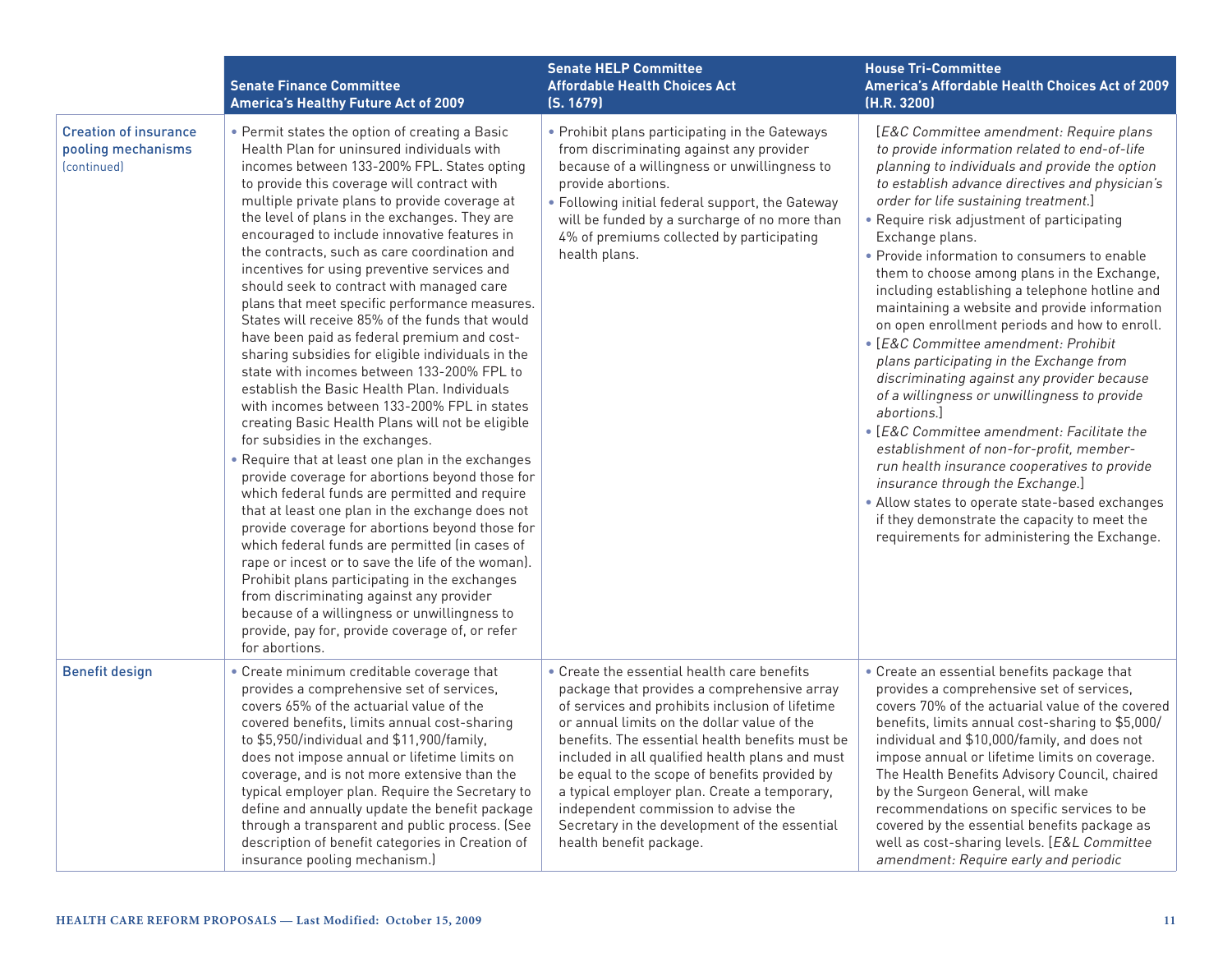|                                                                   | <b>Senate Finance Committee</b><br><b>America's Healthy Future Act of 2009</b>                                                                                                                                                                                                                                                                                                                                                                                                                                                                                                                                                                                                                                                                                                                                                                                                                                                                                                                                                                                                                                                                                                                                                                                                                                                                                                                                                                                                                                                 | <b>Senate HELP Committee</b><br><b>Affordable Health Choices Act</b><br>(S. 1679)                                                                                                                                                                                                                                                                                                                                                                                                                                       | <b>House Tri-Committee</b><br>America's Affordable Health Choices Act of 2009<br>(H.R. 3200)                                                                                                                                                                                                                                                                                                                                                                                                                                                                                                                                                                                                                                                                                                                                                                                                                                                                                                                                                                                                  |
|-------------------------------------------------------------------|--------------------------------------------------------------------------------------------------------------------------------------------------------------------------------------------------------------------------------------------------------------------------------------------------------------------------------------------------------------------------------------------------------------------------------------------------------------------------------------------------------------------------------------------------------------------------------------------------------------------------------------------------------------------------------------------------------------------------------------------------------------------------------------------------------------------------------------------------------------------------------------------------------------------------------------------------------------------------------------------------------------------------------------------------------------------------------------------------------------------------------------------------------------------------------------------------------------------------------------------------------------------------------------------------------------------------------------------------------------------------------------------------------------------------------------------------------------------------------------------------------------------------------|-------------------------------------------------------------------------------------------------------------------------------------------------------------------------------------------------------------------------------------------------------------------------------------------------------------------------------------------------------------------------------------------------------------------------------------------------------------------------------------------------------------------------|-----------------------------------------------------------------------------------------------------------------------------------------------------------------------------------------------------------------------------------------------------------------------------------------------------------------------------------------------------------------------------------------------------------------------------------------------------------------------------------------------------------------------------------------------------------------------------------------------------------------------------------------------------------------------------------------------------------------------------------------------------------------------------------------------------------------------------------------------------------------------------------------------------------------------------------------------------------------------------------------------------------------------------------------------------------------------------------------------|
| <b>Creation of insurance</b><br>pooling mechanisms<br>(continued) | • Permit states the option of creating a Basic<br>Health Plan for uninsured individuals with<br>incomes between 133-200% FPL. States opting<br>to provide this coverage will contract with<br>multiple private plans to provide coverage at<br>the level of plans in the exchanges. They are<br>encouraged to include innovative features in<br>the contracts, such as care coordination and<br>incentives for using preventive services and<br>should seek to contract with managed care<br>plans that meet specific performance measures.<br>States will receive 85% of the funds that would<br>have been paid as federal premium and cost-<br>sharing subsidies for eligible individuals in the<br>state with incomes between 133-200% FPL to<br>establish the Basic Health Plan. Individuals<br>with incomes between 133-200% FPL in states<br>creating Basic Health Plans will not be eligible<br>for subsidies in the exchanges.<br>. Require that at least one plan in the exchanges<br>provide coverage for abortions beyond those for<br>which federal funds are permitted and require<br>that at least one plan in the exchange does not<br>provide coverage for abortions beyond those for<br>which federal funds are permitted (in cases of<br>rape or incest or to save the life of the woman).<br>Prohibit plans participating in the exchanges<br>from discriminating against any provider<br>because of a willingness or unwillingness to<br>provide, pay for, provide coverage of, or refer<br>for abortions. | • Prohibit plans participating in the Gateways<br>from discriminating against any provider<br>because of a willingness or unwillingness to<br>provide abortions.<br>• Following initial federal support, the Gateway<br>will be funded by a surcharge of no more than<br>4% of premiums collected by participating<br>health plans.                                                                                                                                                                                     | [E&C Committee amendment: Require plans<br>to provide information related to end-of-life<br>planning to individuals and provide the option<br>to establish advance directives and physician's<br>order for life sustaining treatment.]<br>• Require risk adjustment of participating<br>Exchange plans.<br>• Provide information to consumers to enable<br>them to choose among plans in the Exchange,<br>including establishing a telephone hotline and<br>maintaining a website and provide information<br>on open enrollment periods and how to enroll.<br>• [E&C Committee amendment: Prohibit<br>plans participating in the Exchange from<br>discriminating against any provider because<br>of a willingness or unwillingness to provide<br>abortions.]<br>• [E&C Committee amendment: Facilitate the<br>establishment of non-for-profit, member-<br>run health insurance cooperatives to provide<br>insurance through the Exchange.]<br>• Allow states to operate state-based exchanges<br>if they demonstrate the capacity to meet the<br>requirements for administering the Exchange. |
| <b>Benefit design</b>                                             | • Create minimum creditable coverage that<br>provides a comprehensive set of services,<br>covers 65% of the actuarial value of the<br>covered benefits, limits annual cost-sharing<br>to \$5,950/individual and \$11,900/family,<br>does not impose annual or lifetime limits on<br>coverage, and is not more extensive than the<br>typical employer plan. Require the Secretary to<br>define and annually update the benefit package<br>through a transparent and public process. (See<br>description of benefit categories in Creation of<br>insurance pooling mechanism.)                                                                                                                                                                                                                                                                                                                                                                                                                                                                                                                                                                                                                                                                                                                                                                                                                                                                                                                                                   | • Create the essential health care benefits<br>package that provides a comprehensive array<br>of services and prohibits inclusion of lifetime<br>or annual limits on the dollar value of the<br>benefits. The essential health benefits must be<br>included in all qualified health plans and must<br>be equal to the scope of benefits provided by<br>a typical employer plan. Create a temporary,<br>independent commission to advise the<br>Secretary in the development of the essential<br>health benefit package. | • Create an essential benefits package that<br>provides a comprehensive set of services,<br>covers 70% of the actuarial value of the covered<br>benefits, limits annual cost-sharing to \$5,000/<br>individual and \$10,000/family, and does not<br>impose annual or lifetime limits on coverage.<br>The Health Benefits Advisory Council, chaired<br>by the Surgeon General, will make<br>recommendations on specific services to be<br>covered by the essential benefits package as<br>well as cost-sharing levels. [E&L Committee<br>amendment: Require early and periodic                                                                                                                                                                                                                                                                                                                                                                                                                                                                                                                 |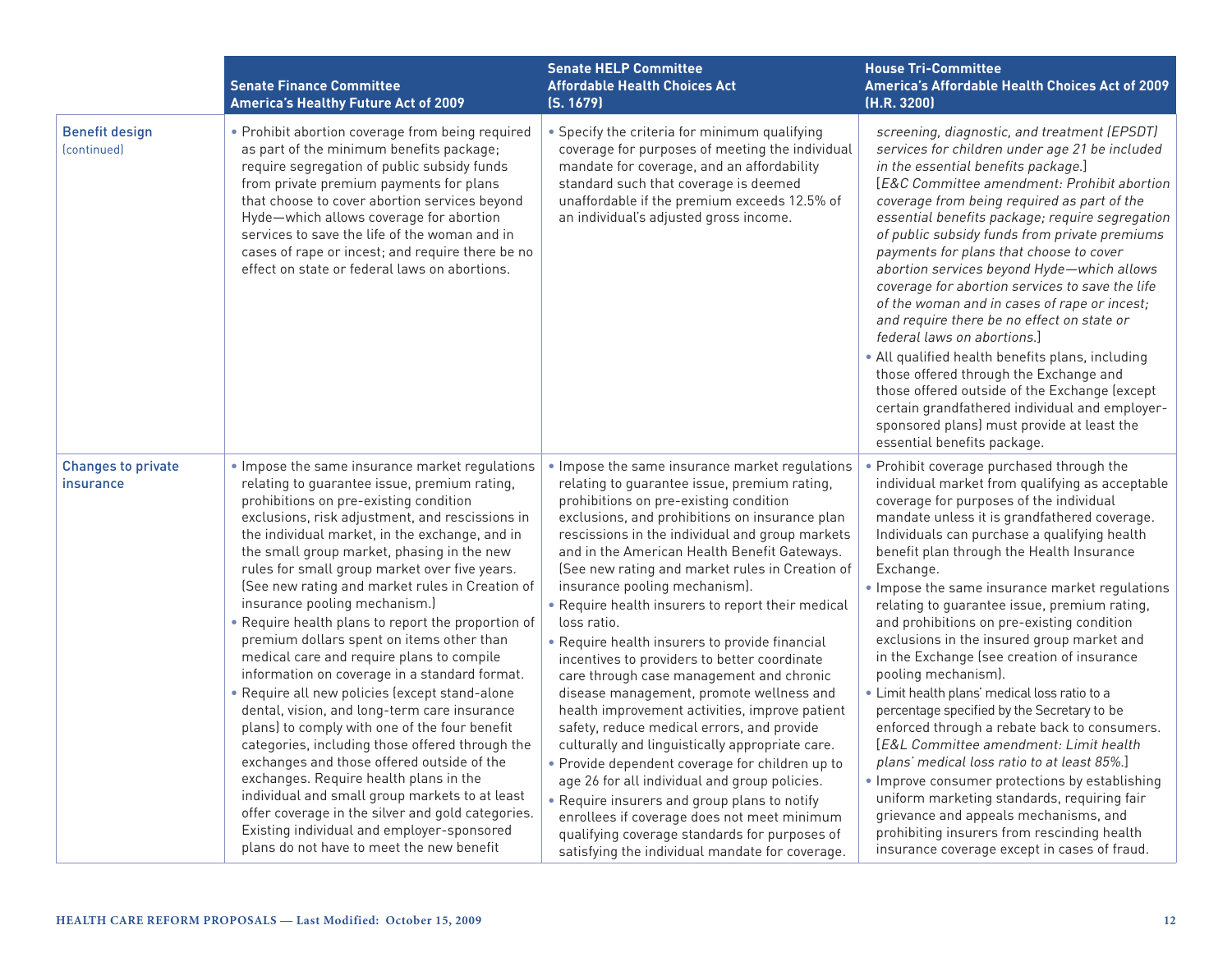|                                        | <b>Senate Finance Committee</b><br><b>America's Healthy Future Act of 2009</b>                                                                                                                                                                                                                                                                                                                                                                                                                                                                                                                                                                                                                                                                                                                                                                                                                                                                                                                                                                                                                                                    | <b>Senate HELP Committee</b><br><b>Affordable Health Choices Act</b><br>(S. 1679)                                                                                                                                                                                                                                                                                                                                                                                                                                                                                                                                                                                                                                                                                                                                                                                                                                                                                                                                                                                                                         | <b>House Tri-Committee</b><br>America's Affordable Health Choices Act of 2009<br>(H.R. 3200)                                                                                                                                                                                                                                                                                                                                                                                                                                                                                                                                                                                                                                                                                                                                                                                                                                                                                                                                                           |
|----------------------------------------|-----------------------------------------------------------------------------------------------------------------------------------------------------------------------------------------------------------------------------------------------------------------------------------------------------------------------------------------------------------------------------------------------------------------------------------------------------------------------------------------------------------------------------------------------------------------------------------------------------------------------------------------------------------------------------------------------------------------------------------------------------------------------------------------------------------------------------------------------------------------------------------------------------------------------------------------------------------------------------------------------------------------------------------------------------------------------------------------------------------------------------------|-----------------------------------------------------------------------------------------------------------------------------------------------------------------------------------------------------------------------------------------------------------------------------------------------------------------------------------------------------------------------------------------------------------------------------------------------------------------------------------------------------------------------------------------------------------------------------------------------------------------------------------------------------------------------------------------------------------------------------------------------------------------------------------------------------------------------------------------------------------------------------------------------------------------------------------------------------------------------------------------------------------------------------------------------------------------------------------------------------------|--------------------------------------------------------------------------------------------------------------------------------------------------------------------------------------------------------------------------------------------------------------------------------------------------------------------------------------------------------------------------------------------------------------------------------------------------------------------------------------------------------------------------------------------------------------------------------------------------------------------------------------------------------------------------------------------------------------------------------------------------------------------------------------------------------------------------------------------------------------------------------------------------------------------------------------------------------------------------------------------------------------------------------------------------------|
| <b>Benefit design</b><br>(continued)   | • Prohibit abortion coverage from being required<br>as part of the minimum benefits package;<br>require segregation of public subsidy funds<br>from private premium payments for plans<br>that choose to cover abortion services beyond<br>Hyde-which allows coverage for abortion<br>services to save the life of the woman and in<br>cases of rape or incest; and require there be no<br>effect on state or federal laws on abortions.                                                                                                                                                                                                                                                                                                                                                                                                                                                                                                                                                                                                                                                                                          | • Specify the criteria for minimum qualifying<br>coverage for purposes of meeting the individual<br>mandate for coverage, and an affordability<br>standard such that coverage is deemed<br>unaffordable if the premium exceeds 12.5% of<br>an individual's adjusted gross income.                                                                                                                                                                                                                                                                                                                                                                                                                                                                                                                                                                                                                                                                                                                                                                                                                         | screening, diagnostic, and treatment (EPSDT)<br>services for children under age 21 be included<br>in the essential benefits package.]<br><b>IE&amp;C Committee amendment: Prohibit abortion</b><br>coverage from being required as part of the<br>essential benefits package; require segregation<br>of public subsidy funds from private premiums<br>payments for plans that choose to cover<br>abortion services beyond Hyde-which allows<br>coverage for abortion services to save the life<br>of the woman and in cases of rape or incest;<br>and require there be no effect on state or<br>federal laws on abortions.<br>. All qualified health benefits plans, including<br>those offered through the Exchange and<br>those offered outside of the Exchange (except<br>certain grandfathered individual and employer-<br>sponsored plans) must provide at least the<br>essential benefits package.                                                                                                                                               |
| <b>Changes to private</b><br>insurance | . Impose the same insurance market regulations<br>relating to quarantee issue, premium rating,<br>prohibitions on pre-existing condition<br>exclusions, risk adjustment, and rescissions in<br>the individual market, in the exchange, and in<br>the small group market, phasing in the new<br>rules for small group market over five years.<br>(See new rating and market rules in Creation of<br>insurance pooling mechanism.)<br>. Require health plans to report the proportion of<br>premium dollars spent on items other than<br>medical care and require plans to compile<br>information on coverage in a standard format.<br>• Require all new policies (except stand-alone<br>dental, vision, and long-term care insurance<br>plans) to comply with one of the four benefit<br>categories, including those offered through the<br>exchanges and those offered outside of the<br>exchanges. Require health plans in the<br>individual and small group markets to at least<br>offer coverage in the silver and gold categories.<br>Existing individual and employer-sponsored<br>plans do not have to meet the new benefit | . Impose the same insurance market regulations<br>relating to quarantee issue, premium rating,<br>prohibitions on pre-existing condition<br>exclusions, and prohibitions on insurance plan<br>rescissions in the individual and group markets<br>and in the American Health Benefit Gateways.<br>(See new rating and market rules in Creation of<br>insurance pooling mechanism).<br>. Require health insurers to report their medical<br>loss ratio.<br>• Require health insurers to provide financial<br>incentives to providers to better coordinate<br>care through case management and chronic<br>disease management, promote wellness and<br>health improvement activities, improve patient<br>safety, reduce medical errors, and provide<br>culturally and linguistically appropriate care.<br>• Provide dependent coverage for children up to<br>age 26 for all individual and group policies.<br>• Require insurers and group plans to notify<br>enrollees if coverage does not meet minimum<br>qualifying coverage standards for purposes of<br>satisfying the individual mandate for coverage. | . Prohibit coverage purchased through the<br>individual market from qualifying as acceptable<br>coverage for purposes of the individual<br>mandate unless it is grandfathered coverage.<br>Individuals can purchase a qualifying health<br>benefit plan through the Health Insurance<br>Exchange.<br>. Impose the same insurance market regulations<br>relating to guarantee issue, premium rating,<br>and prohibitions on pre-existing condition<br>exclusions in the insured group market and<br>in the Exchange (see creation of insurance<br>pooling mechanism).<br>· Limit health plans' medical loss ratio to a<br>percentage specified by the Secretary to be<br>enforced through a rebate back to consumers.<br>[E&L Committee amendment: Limit health<br>plans' medical loss ratio to at least 85%.]<br>. Improve consumer protections by establishing<br>uniform marketing standards, requiring fair<br>grievance and appeals mechanisms, and<br>prohibiting insurers from rescinding health<br>insurance coverage except in cases of fraud. |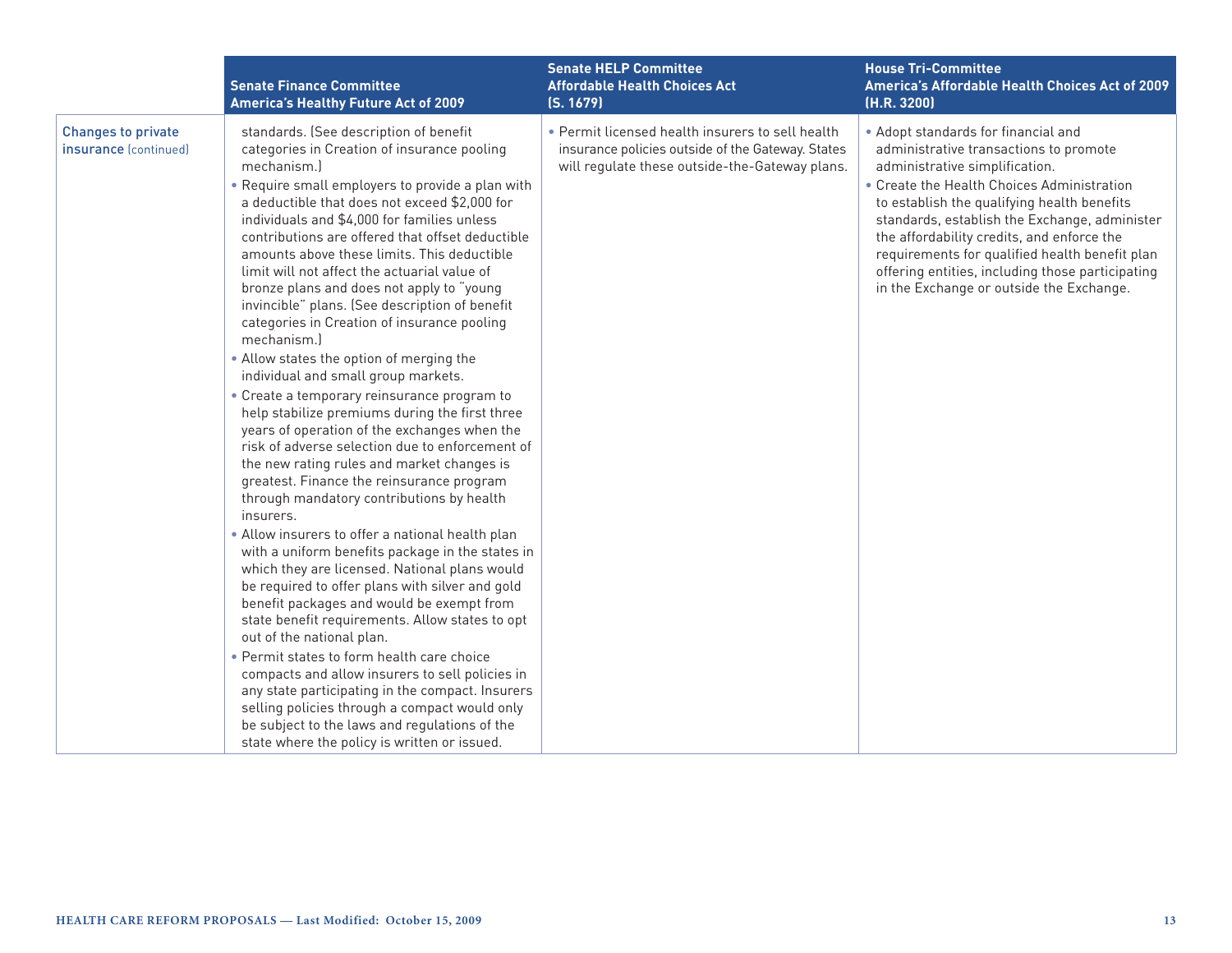|                                                    | <b>Senate Finance Committee</b><br><b>America's Healthy Future Act of 2009</b>                                                                                                                                                                                                                                                                                                                                                                                                                                                                                                                                                                                                                                                                                                                                                                                                                                                                                                                                                                                                                                                                                                                                                                                                                                                                                                                                                                                                                                                                                                                                                                                     | <b>Senate HELP Committee</b><br><b>Affordable Health Choices Act</b><br>(S. 1679)                                                                       | <b>House Tri-Committee</b><br>America's Affordable Health Choices Act of 2009<br>(H.R. 3200)                                                                                                                                                                                                                                                                                                                                                                  |
|----------------------------------------------------|--------------------------------------------------------------------------------------------------------------------------------------------------------------------------------------------------------------------------------------------------------------------------------------------------------------------------------------------------------------------------------------------------------------------------------------------------------------------------------------------------------------------------------------------------------------------------------------------------------------------------------------------------------------------------------------------------------------------------------------------------------------------------------------------------------------------------------------------------------------------------------------------------------------------------------------------------------------------------------------------------------------------------------------------------------------------------------------------------------------------------------------------------------------------------------------------------------------------------------------------------------------------------------------------------------------------------------------------------------------------------------------------------------------------------------------------------------------------------------------------------------------------------------------------------------------------------------------------------------------------------------------------------------------------|---------------------------------------------------------------------------------------------------------------------------------------------------------|---------------------------------------------------------------------------------------------------------------------------------------------------------------------------------------------------------------------------------------------------------------------------------------------------------------------------------------------------------------------------------------------------------------------------------------------------------------|
| <b>Changes to private</b><br>insurance (continued) | standards. (See description of benefit<br>categories in Creation of insurance pooling<br>mechanism.<br>. Require small employers to provide a plan with<br>a deductible that does not exceed \$2,000 for<br>individuals and \$4,000 for families unless<br>contributions are offered that offset deductible<br>amounts above these limits. This deductible<br>limit will not affect the actuarial value of<br>bronze plans and does not apply to "young<br>invincible" plans. (See description of benefit<br>categories in Creation of insurance pooling<br>mechanism.<br>• Allow states the option of merging the<br>individual and small group markets.<br>• Create a temporary reinsurance program to<br>help stabilize premiums during the first three<br>years of operation of the exchanges when the<br>risk of adverse selection due to enforcement of<br>the new rating rules and market changes is<br>greatest. Finance the reinsurance program<br>through mandatory contributions by health<br>insurers.<br>• Allow insurers to offer a national health plan<br>with a uniform benefits package in the states in<br>which they are licensed. National plans would<br>be required to offer plans with silver and gold<br>benefit packages and would be exempt from<br>state benefit requirements. Allow states to opt<br>out of the national plan.<br>• Permit states to form health care choice<br>compacts and allow insurers to sell policies in<br>any state participating in the compact. Insurers<br>selling policies through a compact would only<br>be subject to the laws and regulations of the<br>state where the policy is written or issued. | • Permit licensed health insurers to sell health<br>insurance policies outside of the Gateway. States<br>will regulate these outside-the-Gateway plans. | • Adopt standards for financial and<br>administrative transactions to promote<br>administrative simplification.<br>• Create the Health Choices Administration<br>to establish the qualifying health benefits<br>standards, establish the Exchange, administer<br>the affordability credits, and enforce the<br>requirements for qualified health benefit plan<br>offering entities, including those participating<br>in the Exchange or outside the Exchange. |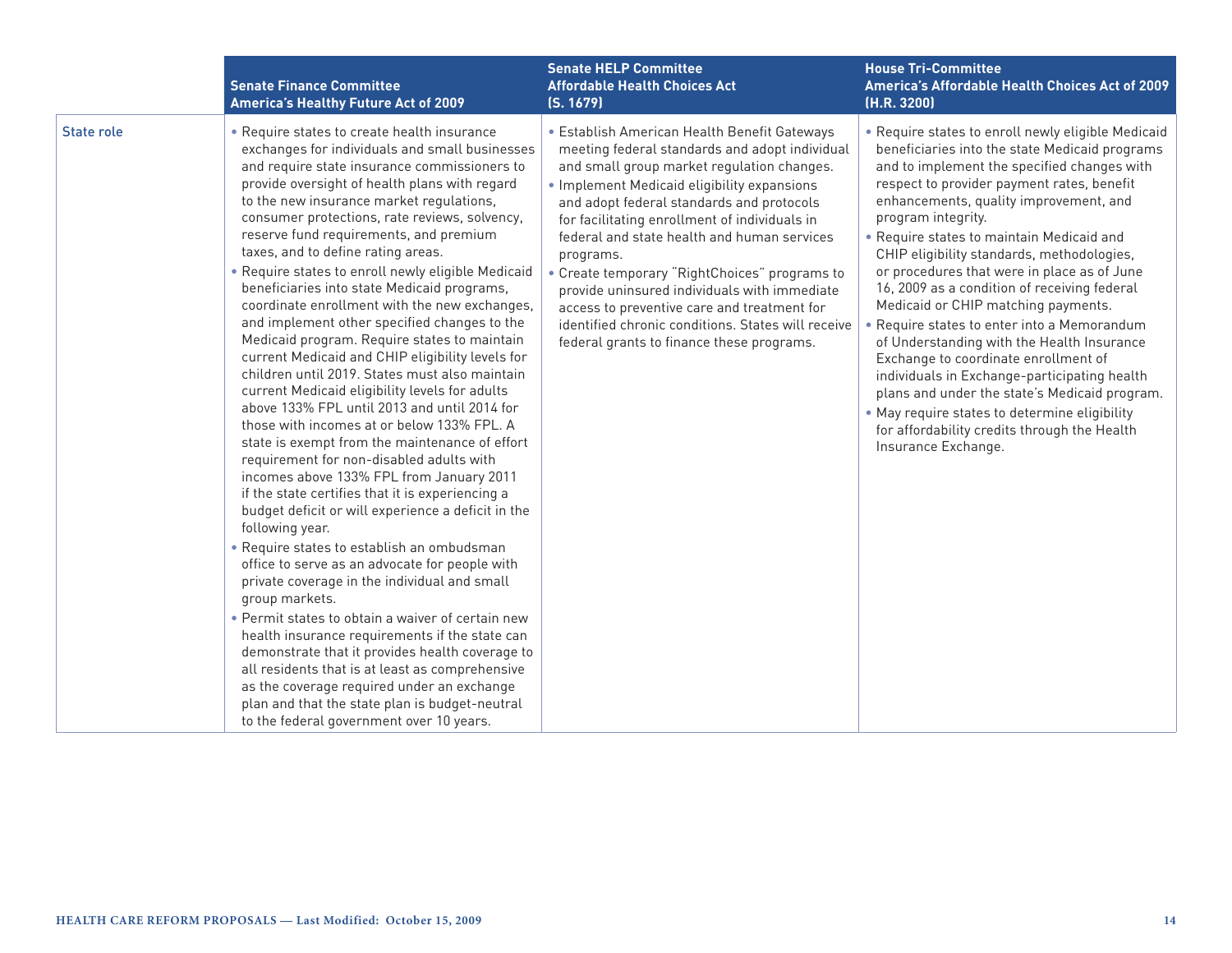|                   | <b>Senate Finance Committee</b><br><b>America's Healthy Future Act of 2009</b>                                                                                                                                                                                                                                                                                                                                                                                                                                                                                                                                                                                                                                                                                                                                                                                                                                                                                                                                                                                                                                                                                                                                                                                                                                                                                                                                                                                                                                                                                                                                                                                                            | <b>Senate HELP Committee</b><br><b>Affordable Health Choices Act</b><br>(S. 1679)                                                                                                                                                                                                                                                                                                                                                                                                                                                                                                                        | <b>House Tri-Committee</b><br>America's Affordable Health Choices Act of 2009<br>(H.R. 3200)                                                                                                                                                                                                                                                                                                                                                                                                                                                                                                                                                                                                                                                                                                                                                                   |
|-------------------|-------------------------------------------------------------------------------------------------------------------------------------------------------------------------------------------------------------------------------------------------------------------------------------------------------------------------------------------------------------------------------------------------------------------------------------------------------------------------------------------------------------------------------------------------------------------------------------------------------------------------------------------------------------------------------------------------------------------------------------------------------------------------------------------------------------------------------------------------------------------------------------------------------------------------------------------------------------------------------------------------------------------------------------------------------------------------------------------------------------------------------------------------------------------------------------------------------------------------------------------------------------------------------------------------------------------------------------------------------------------------------------------------------------------------------------------------------------------------------------------------------------------------------------------------------------------------------------------------------------------------------------------------------------------------------------------|----------------------------------------------------------------------------------------------------------------------------------------------------------------------------------------------------------------------------------------------------------------------------------------------------------------------------------------------------------------------------------------------------------------------------------------------------------------------------------------------------------------------------------------------------------------------------------------------------------|----------------------------------------------------------------------------------------------------------------------------------------------------------------------------------------------------------------------------------------------------------------------------------------------------------------------------------------------------------------------------------------------------------------------------------------------------------------------------------------------------------------------------------------------------------------------------------------------------------------------------------------------------------------------------------------------------------------------------------------------------------------------------------------------------------------------------------------------------------------|
| <b>State role</b> | • Require states to create health insurance<br>exchanges for individuals and small businesses<br>and require state insurance commissioners to<br>provide oversight of health plans with regard<br>to the new insurance market regulations,<br>consumer protections, rate reviews, solvency,<br>reserve fund requirements, and premium<br>taxes, and to define rating areas.<br>. Require states to enroll newly eligible Medicaid<br>beneficiaries into state Medicaid programs,<br>coordinate enrollment with the new exchanges,<br>and implement other specified changes to the<br>Medicaid program. Require states to maintain<br>current Medicaid and CHIP eligibility levels for<br>children until 2019. States must also maintain<br>current Medicaid eligibility levels for adults<br>above 133% FPL until 2013 and until 2014 for<br>those with incomes at or below 133% FPL. A<br>state is exempt from the maintenance of effort<br>requirement for non-disabled adults with<br>incomes above 133% FPL from January 2011<br>if the state certifies that it is experiencing a<br>budget deficit or will experience a deficit in the<br>following year.<br>• Require states to establish an ombudsman<br>office to serve as an advocate for people with<br>private coverage in the individual and small<br>group markets.<br>• Permit states to obtain a waiver of certain new<br>health insurance requirements if the state can<br>demonstrate that it provides health coverage to<br>all residents that is at least as comprehensive<br>as the coverage required under an exchange<br>plan and that the state plan is budget-neutral<br>to the federal government over 10 years. | • Establish American Health Benefit Gateways<br>meeting federal standards and adopt individual<br>and small group market regulation changes.<br>• Implement Medicaid eligibility expansions<br>and adopt federal standards and protocols<br>for facilitating enrollment of individuals in<br>federal and state health and human services<br>programs.<br>• Create temporary "RightChoices" programs to<br>provide uninsured individuals with immediate<br>access to preventive care and treatment for<br>identified chronic conditions. States will receive<br>federal grants to finance these programs. | . Require states to enroll newly eligible Medicaid<br>beneficiaries into the state Medicaid programs<br>and to implement the specified changes with<br>respect to provider payment rates, benefit<br>enhancements, quality improvement, and<br>program integrity.<br>. Require states to maintain Medicaid and<br>CHIP eligibility standards, methodologies,<br>or procedures that were in place as of June<br>16, 2009 as a condition of receiving federal<br>Medicaid or CHIP matching payments.<br>Require states to enter into a Memorandum<br>of Understanding with the Health Insurance<br>Exchange to coordinate enrollment of<br>individuals in Exchange-participating health<br>plans and under the state's Medicaid program.<br>. May require states to determine eligibility<br>for affordability credits through the Health<br>Insurance Exchange. |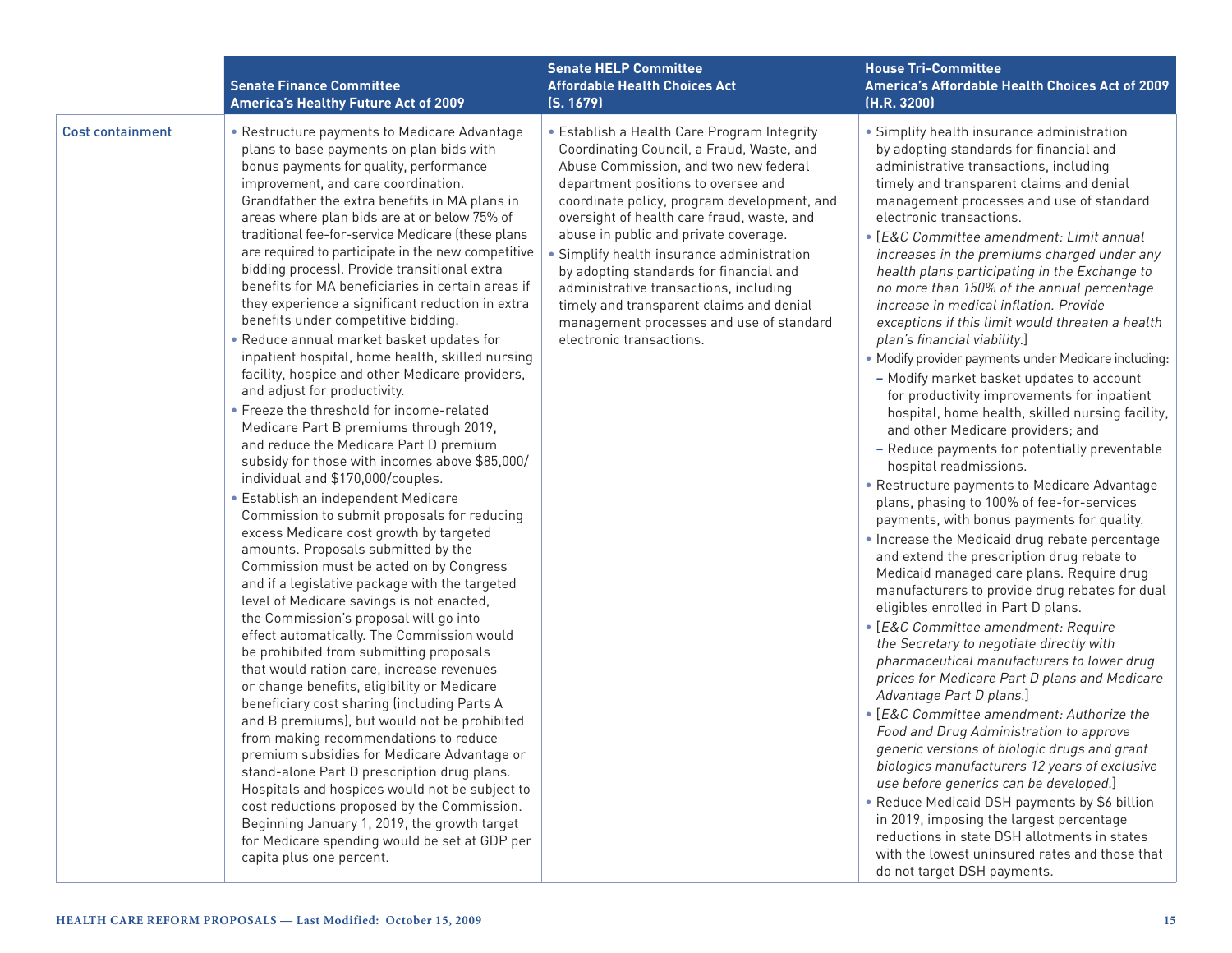|                         | <b>Senate Finance Committee</b><br><b>America's Healthy Future Act of 2009</b>                                                                                                                                                                                                                                                                                                                                                                                                                                                                                                                                                                                                                                                                                                                                                                                                                                                                                                                                                                                                                                                                                                                                                                                                                                                                                                                                                                                                                                                                                                                                                                                                                                                                                                                                                                                                                                                                                                                                          | <b>Senate HELP Committee</b><br><b>Affordable Health Choices Act</b><br>(S. 1679)                                                                                                                                                                                                                                                                                                                                                                                                                                                                                   | <b>House Tri-Committee</b><br><b>America's Affordable Health Choices Act of 2009</b><br>(H.R. 3200)                                                                                                                                                                                                                                                                                                                                                                                                                                                                                                                                                                                                                                                                                                                                                                                                                                                                                                                                                                                                                                                                                                                                                                                                                                                                                                                                                                                                                                                                                                                                                                                                                                                                                                                                                                                                                                                                  |
|-------------------------|-------------------------------------------------------------------------------------------------------------------------------------------------------------------------------------------------------------------------------------------------------------------------------------------------------------------------------------------------------------------------------------------------------------------------------------------------------------------------------------------------------------------------------------------------------------------------------------------------------------------------------------------------------------------------------------------------------------------------------------------------------------------------------------------------------------------------------------------------------------------------------------------------------------------------------------------------------------------------------------------------------------------------------------------------------------------------------------------------------------------------------------------------------------------------------------------------------------------------------------------------------------------------------------------------------------------------------------------------------------------------------------------------------------------------------------------------------------------------------------------------------------------------------------------------------------------------------------------------------------------------------------------------------------------------------------------------------------------------------------------------------------------------------------------------------------------------------------------------------------------------------------------------------------------------------------------------------------------------------------------------------------------------|---------------------------------------------------------------------------------------------------------------------------------------------------------------------------------------------------------------------------------------------------------------------------------------------------------------------------------------------------------------------------------------------------------------------------------------------------------------------------------------------------------------------------------------------------------------------|----------------------------------------------------------------------------------------------------------------------------------------------------------------------------------------------------------------------------------------------------------------------------------------------------------------------------------------------------------------------------------------------------------------------------------------------------------------------------------------------------------------------------------------------------------------------------------------------------------------------------------------------------------------------------------------------------------------------------------------------------------------------------------------------------------------------------------------------------------------------------------------------------------------------------------------------------------------------------------------------------------------------------------------------------------------------------------------------------------------------------------------------------------------------------------------------------------------------------------------------------------------------------------------------------------------------------------------------------------------------------------------------------------------------------------------------------------------------------------------------------------------------------------------------------------------------------------------------------------------------------------------------------------------------------------------------------------------------------------------------------------------------------------------------------------------------------------------------------------------------------------------------------------------------------------------------------------------------|
| <b>Cost containment</b> | • Restructure payments to Medicare Advantage<br>plans to base payments on plan bids with<br>bonus payments for quality, performance<br>improvement, and care coordination.<br>Grandfather the extra benefits in MA plans in<br>areas where plan bids are at or below 75% of<br>traditional fee-for-service Medicare (these plans<br>are required to participate in the new competitive<br>bidding process). Provide transitional extra<br>benefits for MA beneficiaries in certain areas if<br>they experience a significant reduction in extra<br>benefits under competitive bidding.<br>. Reduce annual market basket updates for<br>inpatient hospital, home health, skilled nursing<br>facility, hospice and other Medicare providers,<br>and adjust for productivity.<br>• Freeze the threshold for income-related<br>Medicare Part B premiums through 2019,<br>and reduce the Medicare Part D premium<br>subsidy for those with incomes above \$85,000/<br>individual and \$170,000/couples.<br>· Establish an independent Medicare<br>Commission to submit proposals for reducing<br>excess Medicare cost growth by targeted<br>amounts. Proposals submitted by the<br>Commission must be acted on by Congress<br>and if a legislative package with the targeted<br>level of Medicare savings is not enacted,<br>the Commission's proposal will go into<br>effect automatically. The Commission would<br>be prohibited from submitting proposals<br>that would ration care, increase revenues<br>or change benefits, eligibility or Medicare<br>beneficiary cost sharing (including Parts A<br>and B premiums), but would not be prohibited<br>from making recommendations to reduce<br>premium subsidies for Medicare Advantage or<br>stand-alone Part D prescription drug plans.<br>Hospitals and hospices would not be subject to<br>cost reductions proposed by the Commission.<br>Beginning January 1, 2019, the growth target<br>for Medicare spending would be set at GDP per<br>capita plus one percent. | • Establish a Health Care Program Integrity<br>Coordinating Council, a Fraud, Waste, and<br>Abuse Commission, and two new federal<br>department positions to oversee and<br>coordinate policy, program development, and<br>oversight of health care fraud, waste, and<br>abuse in public and private coverage.<br>Simplify health insurance administration<br>by adopting standards for financial and<br>administrative transactions, including<br>timely and transparent claims and denial<br>management processes and use of standard<br>electronic transactions. | • Simplify health insurance administration<br>by adopting standards for financial and<br>administrative transactions, including<br>timely and transparent claims and denial<br>management processes and use of standard<br>electronic transactions.<br>• [E&C Committee amendment: Limit annual<br>increases in the premiums charged under any<br>health plans participating in the Exchange to<br>no more than 150% of the annual percentage<br>increase in medical inflation. Provide<br>exceptions if this limit would threaten a health<br>plan's financial viability.]<br>• Modify provider payments under Medicare including:<br>- Modify market basket updates to account<br>for productivity improvements for inpatient<br>hospital, home health, skilled nursing facility,<br>and other Medicare providers; and<br>- Reduce payments for potentially preventable<br>hospital readmissions.<br>• Restructure payments to Medicare Advantage<br>plans, phasing to 100% of fee-for-services<br>payments, with bonus payments for quality.<br>. Increase the Medicaid drug rebate percentage<br>and extend the prescription drug rebate to<br>Medicaid managed care plans. Require drug<br>manufacturers to provide drug rebates for dual<br>eligibles enrolled in Part D plans.<br>• [E&C Committee amendment: Require<br>the Secretary to negotiate directly with<br>pharmaceutical manufacturers to lower drug<br>prices for Medicare Part D plans and Medicare<br>Advantage Part D plans.]<br>• [E&C Committee amendment: Authorize the<br>Food and Drug Administration to approve<br>generic versions of biologic drugs and grant<br>biologics manufacturers 12 years of exclusive<br>use before generics can be developed.]<br>• Reduce Medicaid DSH payments by \$6 billion<br>in 2019, imposing the largest percentage<br>reductions in state DSH allotments in states<br>with the lowest uninsured rates and those that<br>do not target DSH payments. |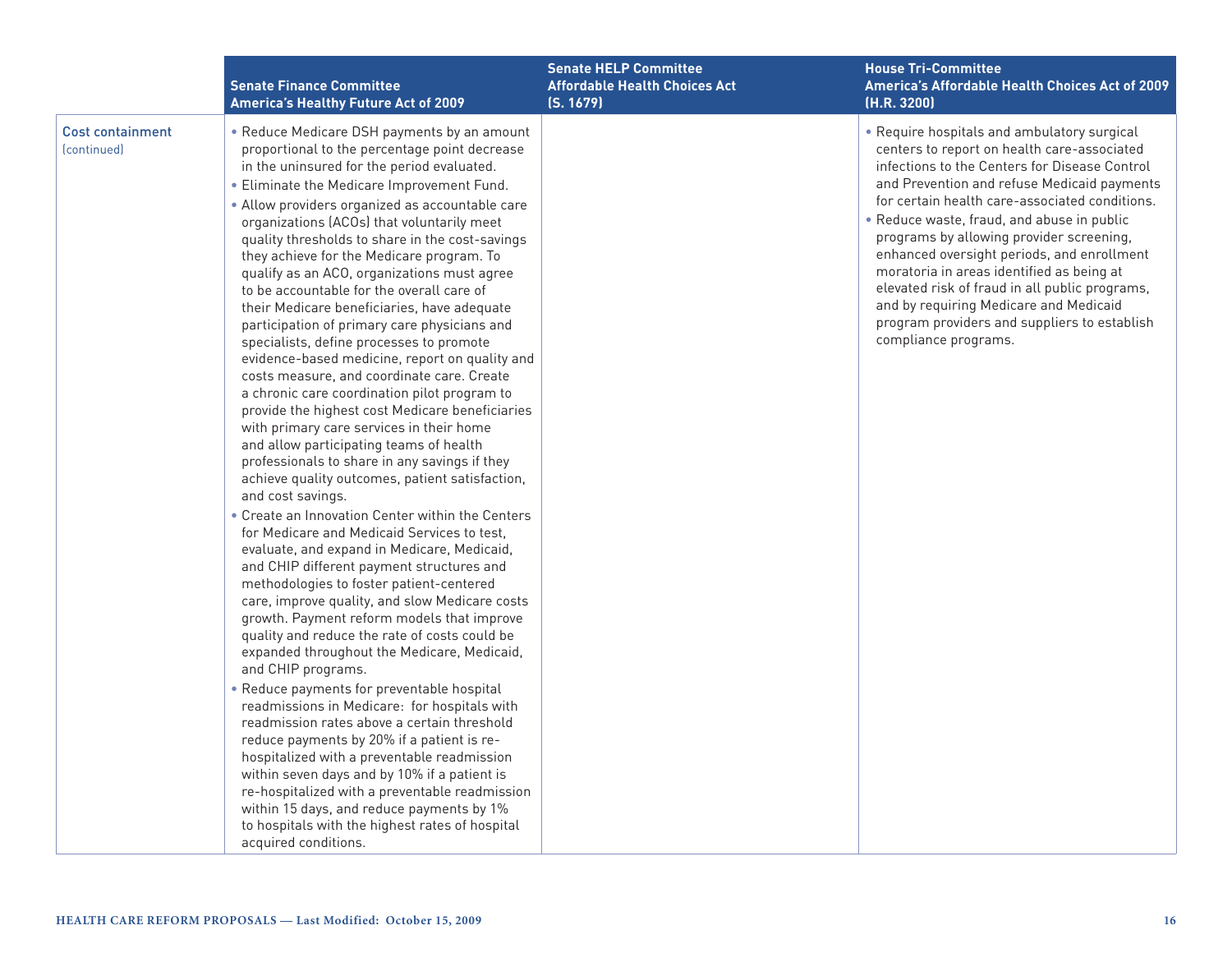|                                               | <b>Senate Finance Committee</b><br>America's Healthy Future Act of 2009                                                                                                                                                                                                                                                                                                                                                                                                                                                                                                                                                                                                                                                                                                                                                                                                                                                                                                                                                                                                                                                                                                                                                                                                                                                                                                                                                                                                                                                                                                                                                                                                                                                                                                                                                                                                                                                                                                                  | <b>Senate HELP Committee</b><br><b>Affordable Health Choices Act</b><br>(S. 1679) | <b>House Tri-Committee</b><br>America's Affordable Health Choices Act of 2009<br>(H.R. 3200)                                                                                                                                                                                                                                                                                                                                                                                                                                                                                                          |
|-----------------------------------------------|------------------------------------------------------------------------------------------------------------------------------------------------------------------------------------------------------------------------------------------------------------------------------------------------------------------------------------------------------------------------------------------------------------------------------------------------------------------------------------------------------------------------------------------------------------------------------------------------------------------------------------------------------------------------------------------------------------------------------------------------------------------------------------------------------------------------------------------------------------------------------------------------------------------------------------------------------------------------------------------------------------------------------------------------------------------------------------------------------------------------------------------------------------------------------------------------------------------------------------------------------------------------------------------------------------------------------------------------------------------------------------------------------------------------------------------------------------------------------------------------------------------------------------------------------------------------------------------------------------------------------------------------------------------------------------------------------------------------------------------------------------------------------------------------------------------------------------------------------------------------------------------------------------------------------------------------------------------------------------------|-----------------------------------------------------------------------------------|-------------------------------------------------------------------------------------------------------------------------------------------------------------------------------------------------------------------------------------------------------------------------------------------------------------------------------------------------------------------------------------------------------------------------------------------------------------------------------------------------------------------------------------------------------------------------------------------------------|
| <b>Cost containment</b><br><i>(continued)</i> | • Reduce Medicare DSH payments by an amount<br>proportional to the percentage point decrease<br>in the uninsured for the period evaluated.<br>• Eliminate the Medicare Improvement Fund.<br>• Allow providers organized as accountable care<br>organizations (ACOs) that voluntarily meet<br>quality thresholds to share in the cost-savings<br>they achieve for the Medicare program. To<br>qualify as an ACO, organizations must agree<br>to be accountable for the overall care of<br>their Medicare beneficiaries, have adequate<br>participation of primary care physicians and<br>specialists, define processes to promote<br>evidence-based medicine, report on quality and<br>costs measure, and coordinate care. Create<br>a chronic care coordination pilot program to<br>provide the highest cost Medicare beneficiaries<br>with primary care services in their home<br>and allow participating teams of health<br>professionals to share in any savings if they<br>achieve quality outcomes, patient satisfaction,<br>and cost savings.<br>• Create an Innovation Center within the Centers<br>for Medicare and Medicaid Services to test.<br>evaluate, and expand in Medicare, Medicaid,<br>and CHIP different payment structures and<br>methodologies to foster patient-centered<br>care, improve quality, and slow Medicare costs<br>growth. Payment reform models that improve<br>quality and reduce the rate of costs could be<br>expanded throughout the Medicare, Medicaid,<br>and CHIP programs.<br>• Reduce payments for preventable hospital<br>readmissions in Medicare: for hospitals with<br>readmission rates above a certain threshold<br>reduce payments by 20% if a patient is re-<br>hospitalized with a preventable readmission<br>within seven days and by 10% if a patient is<br>re-hospitalized with a preventable readmission<br>within 15 days, and reduce payments by 1%<br>to hospitals with the highest rates of hospital<br>acquired conditions. |                                                                                   | • Require hospitals and ambulatory surgical<br>centers to report on health care-associated<br>infections to the Centers for Disease Control<br>and Prevention and refuse Medicaid payments<br>for certain health care-associated conditions.<br>. Reduce waste, fraud, and abuse in public<br>programs by allowing provider screening,<br>enhanced oversight periods, and enrollment<br>moratoria in areas identified as being at<br>elevated risk of fraud in all public programs,<br>and by requiring Medicare and Medicaid<br>program providers and suppliers to establish<br>compliance programs. |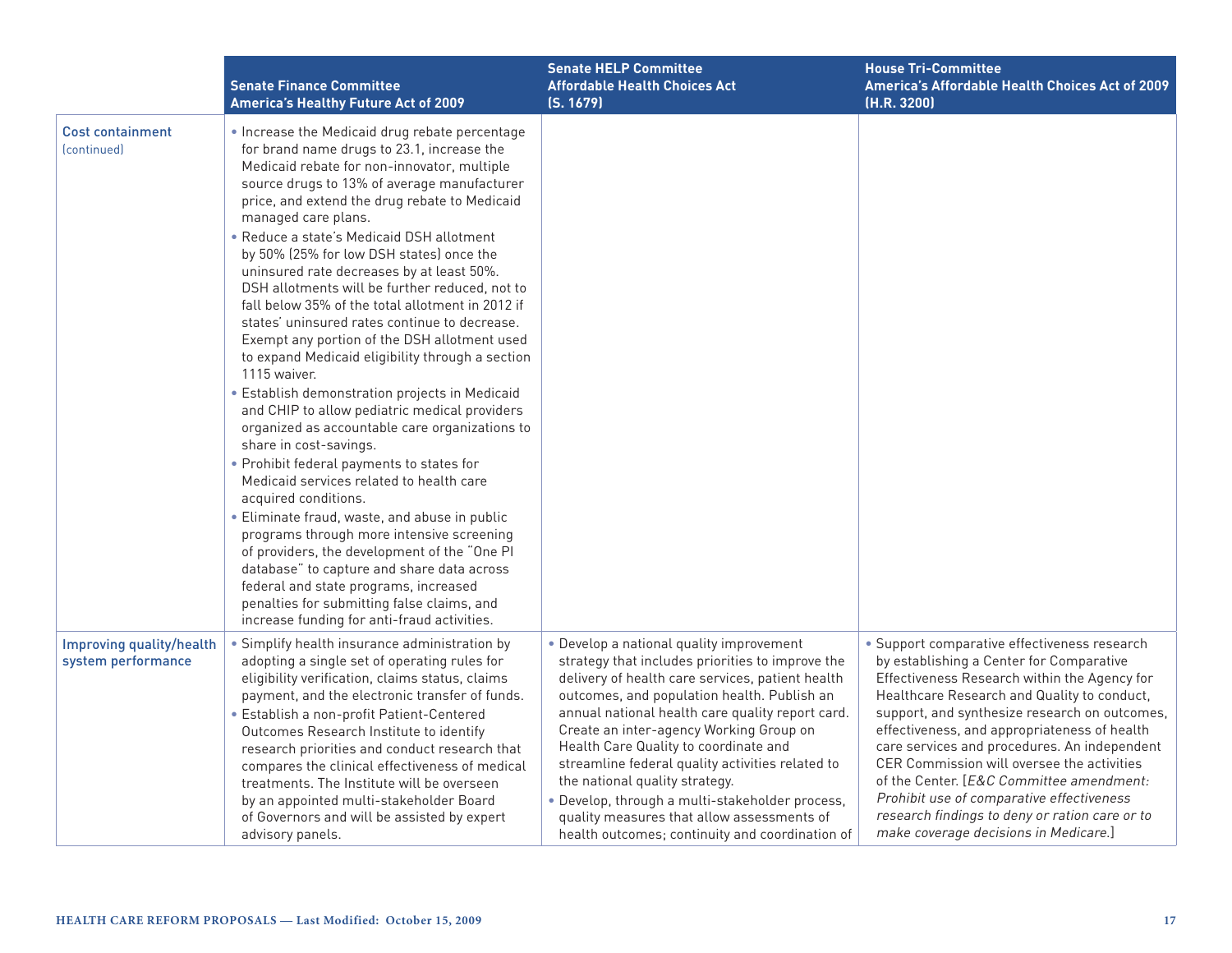|                                                           | <b>Senate Finance Committee</b><br><b>America's Healthy Future Act of 2009</b>                                                                                                                                                                                                                                                                                                                                                                                                                                                                                                                                                                                                                                                                                                                                                                                                                                                                                                      | <b>Senate HELP Committee</b><br><b>Affordable Health Choices Act</b><br>(S, 1679)                                                                                                                                                                                                                                                                                                                                                                                                                                                                                                 | <b>House Tri-Committee</b><br><b>America's Affordable Health Choices Act of 2009</b><br>(H.R. 3200)                                                                                                                                                                                                                                                                                                                                                                                                                                                                        |
|-----------------------------------------------------------|-------------------------------------------------------------------------------------------------------------------------------------------------------------------------------------------------------------------------------------------------------------------------------------------------------------------------------------------------------------------------------------------------------------------------------------------------------------------------------------------------------------------------------------------------------------------------------------------------------------------------------------------------------------------------------------------------------------------------------------------------------------------------------------------------------------------------------------------------------------------------------------------------------------------------------------------------------------------------------------|-----------------------------------------------------------------------------------------------------------------------------------------------------------------------------------------------------------------------------------------------------------------------------------------------------------------------------------------------------------------------------------------------------------------------------------------------------------------------------------------------------------------------------------------------------------------------------------|----------------------------------------------------------------------------------------------------------------------------------------------------------------------------------------------------------------------------------------------------------------------------------------------------------------------------------------------------------------------------------------------------------------------------------------------------------------------------------------------------------------------------------------------------------------------------|
| <b>Cost containment</b><br><i><u><b>Continued</b></u></i> | . Increase the Medicaid drug rebate percentage<br>for brand name drugs to 23.1, increase the<br>Medicaid rebate for non-innovator, multiple<br>source drugs to 13% of average manufacturer<br>price, and extend the drug rebate to Medicaid<br>managed care plans.<br>• Reduce a state's Medicaid DSH allotment<br>by 50% (25% for low DSH states) once the<br>uninsured rate decreases by at least 50%.<br>DSH allotments will be further reduced, not to<br>fall below 35% of the total allotment in 2012 if<br>states' uninsured rates continue to decrease.<br>Exempt any portion of the DSH allotment used<br>to expand Medicaid eligibility through a section<br>1115 waiver.<br>· Establish demonstration projects in Medicaid<br>and CHIP to allow pediatric medical providers<br>organized as accountable care organizations to<br>share in cost-savings.<br>• Prohibit federal payments to states for<br>Medicaid services related to health care<br>acquired conditions. |                                                                                                                                                                                                                                                                                                                                                                                                                                                                                                                                                                                   |                                                                                                                                                                                                                                                                                                                                                                                                                                                                                                                                                                            |
|                                                           | · Eliminate fraud, waste, and abuse in public<br>programs through more intensive screening<br>of providers, the development of the "One PI<br>database" to capture and share data across<br>federal and state programs, increased<br>penalties for submitting false claims, and<br>increase funding for anti-fraud activities.                                                                                                                                                                                                                                                                                                                                                                                                                                                                                                                                                                                                                                                      |                                                                                                                                                                                                                                                                                                                                                                                                                                                                                                                                                                                   |                                                                                                                                                                                                                                                                                                                                                                                                                                                                                                                                                                            |
| Improving quality/health<br>system performance            | · Simplify health insurance administration by<br>adopting a single set of operating rules for<br>eligibility verification, claims status, claims<br>payment, and the electronic transfer of funds.<br>· Establish a non-profit Patient-Centered<br>Outcomes Research Institute to identify<br>research priorities and conduct research that<br>compares the clinical effectiveness of medical<br>treatments. The Institute will be overseen<br>by an appointed multi-stakeholder Board<br>of Governors and will be assisted by expert<br>advisory panels.                                                                                                                                                                                                                                                                                                                                                                                                                           | • Develop a national quality improvement<br>strategy that includes priorities to improve the<br>delivery of health care services, patient health<br>outcomes, and population health. Publish an<br>annual national health care quality report card.<br>Create an inter-agency Working Group on<br>Health Care Quality to coordinate and<br>streamline federal quality activities related to<br>the national quality strategy.<br>· Develop, through a multi-stakeholder process,<br>quality measures that allow assessments of<br>health outcomes; continuity and coordination of | · Support comparative effectiveness research<br>by establishing a Center for Comparative<br>Effectiveness Research within the Agency for<br>Healthcare Research and Quality to conduct,<br>support, and synthesize research on outcomes,<br>effectiveness, and appropriateness of health<br>care services and procedures. An independent<br>CER Commission will oversee the activities<br>of the Center. [E&C Committee amendment:<br>Prohibit use of comparative effectiveness<br>research findings to deny or ration care or to<br>make coverage decisions in Medicare.] |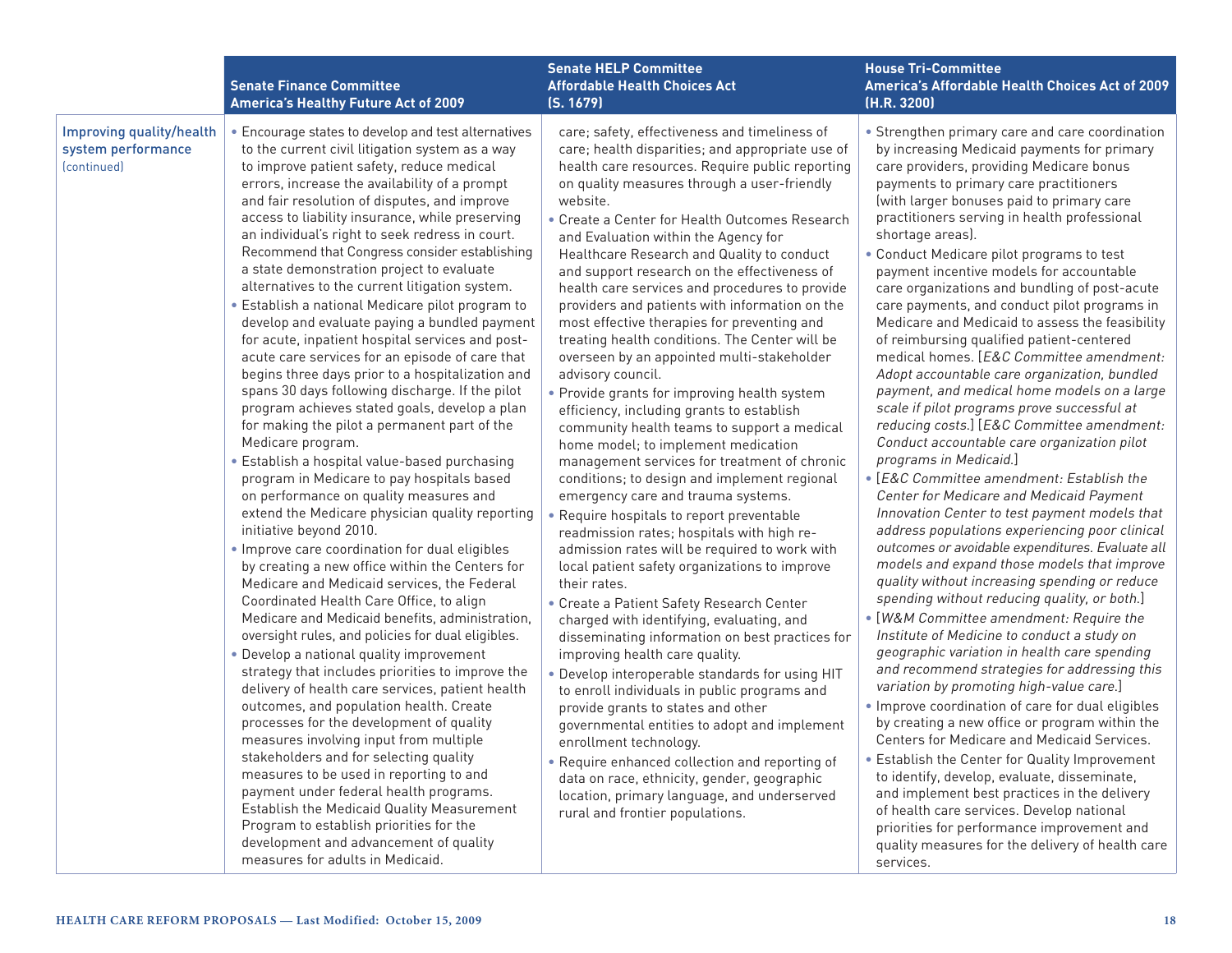|                                                               | <b>Senate Finance Committee</b><br><b>America's Healthy Future Act of 2009</b>                                                                                                                                                                                                                                                                                                                                                                                                                                                                                                                                                                                                                                                                                                                                                                                                                                                                                                                                                                                                                                                                                                                                                                                                                                                                                                                                                                                                                                                                                                                                                                                                                                                                                                                                                                                                                                                                                                                                                                                                | <b>Senate HELP Committee</b><br><b>Affordable Health Choices Act</b><br>(S. 1679)                                                                                                                                                                                                                                                                                                                                                                                                                                                                                                                                                                                                                                                                                                                                                                                                                                                                                                                                                                                                                                                                                                                                                                                                                                                                                                                                                                                                                                                                                                                                                                                                                                                                                                                          | <b>House Tri-Committee</b><br>America's Affordable Health Choices Act of 2009<br>(H.R. 3200)                                                                                                                                                                                                                                                                                                                                                                                                                                                                                                                                                                                                                                                                                                                                                                                                                                                                                                                                                                                                                                                                                                                                                                                                                                                                                                                                                                                                                                                                                                                                                                                                                                                                                                                                                                                                                                                                                                                               |
|---------------------------------------------------------------|-------------------------------------------------------------------------------------------------------------------------------------------------------------------------------------------------------------------------------------------------------------------------------------------------------------------------------------------------------------------------------------------------------------------------------------------------------------------------------------------------------------------------------------------------------------------------------------------------------------------------------------------------------------------------------------------------------------------------------------------------------------------------------------------------------------------------------------------------------------------------------------------------------------------------------------------------------------------------------------------------------------------------------------------------------------------------------------------------------------------------------------------------------------------------------------------------------------------------------------------------------------------------------------------------------------------------------------------------------------------------------------------------------------------------------------------------------------------------------------------------------------------------------------------------------------------------------------------------------------------------------------------------------------------------------------------------------------------------------------------------------------------------------------------------------------------------------------------------------------------------------------------------------------------------------------------------------------------------------------------------------------------------------------------------------------------------------|------------------------------------------------------------------------------------------------------------------------------------------------------------------------------------------------------------------------------------------------------------------------------------------------------------------------------------------------------------------------------------------------------------------------------------------------------------------------------------------------------------------------------------------------------------------------------------------------------------------------------------------------------------------------------------------------------------------------------------------------------------------------------------------------------------------------------------------------------------------------------------------------------------------------------------------------------------------------------------------------------------------------------------------------------------------------------------------------------------------------------------------------------------------------------------------------------------------------------------------------------------------------------------------------------------------------------------------------------------------------------------------------------------------------------------------------------------------------------------------------------------------------------------------------------------------------------------------------------------------------------------------------------------------------------------------------------------------------------------------------------------------------------------------------------------|----------------------------------------------------------------------------------------------------------------------------------------------------------------------------------------------------------------------------------------------------------------------------------------------------------------------------------------------------------------------------------------------------------------------------------------------------------------------------------------------------------------------------------------------------------------------------------------------------------------------------------------------------------------------------------------------------------------------------------------------------------------------------------------------------------------------------------------------------------------------------------------------------------------------------------------------------------------------------------------------------------------------------------------------------------------------------------------------------------------------------------------------------------------------------------------------------------------------------------------------------------------------------------------------------------------------------------------------------------------------------------------------------------------------------------------------------------------------------------------------------------------------------------------------------------------------------------------------------------------------------------------------------------------------------------------------------------------------------------------------------------------------------------------------------------------------------------------------------------------------------------------------------------------------------------------------------------------------------------------------------------------------------|
| Improving quality/health<br>system performance<br>(continued) | • Encourage states to develop and test alternatives<br>to the current civil litigation system as a way<br>to improve patient safety, reduce medical<br>errors, increase the availability of a prompt<br>and fair resolution of disputes, and improve<br>access to liability insurance, while preserving<br>an individual's right to seek redress in court.<br>Recommend that Congress consider establishing<br>a state demonstration project to evaluate<br>alternatives to the current litigation system.<br>• Establish a national Medicare pilot program to<br>develop and evaluate paying a bundled payment<br>for acute, inpatient hospital services and post-<br>acute care services for an episode of care that<br>begins three days prior to a hospitalization and<br>spans 30 days following discharge. If the pilot<br>program achieves stated goals, develop a plan<br>for making the pilot a permanent part of the<br>Medicare program.<br>· Establish a hospital value-based purchasing<br>program in Medicare to pay hospitals based<br>on performance on quality measures and<br>extend the Medicare physician quality reporting<br>initiative beyond 2010.<br>. Improve care coordination for dual eligibles<br>by creating a new office within the Centers for<br>Medicare and Medicaid services, the Federal<br>Coordinated Health Care Office, to align<br>Medicare and Medicaid benefits, administration,<br>oversight rules, and policies for dual eligibles.<br>• Develop a national quality improvement<br>strategy that includes priorities to improve the<br>delivery of health care services, patient health<br>outcomes, and population health. Create<br>processes for the development of quality<br>measures involving input from multiple<br>stakeholders and for selecting quality<br>measures to be used in reporting to and<br>payment under federal health programs.<br>Establish the Medicaid Quality Measurement<br>Program to establish priorities for the<br>development and advancement of quality<br>measures for adults in Medicaid. | care; safety, effectiveness and timeliness of<br>care; health disparities; and appropriate use of<br>health care resources. Require public reporting<br>on quality measures through a user-friendly<br>website.<br>• Create a Center for Health Outcomes Research<br>and Evaluation within the Agency for<br>Healthcare Research and Quality to conduct<br>and support research on the effectiveness of<br>health care services and procedures to provide<br>providers and patients with information on the<br>most effective therapies for preventing and<br>treating health conditions. The Center will be<br>overseen by an appointed multi-stakeholder<br>advisory council.<br>• Provide grants for improving health system<br>efficiency, including grants to establish<br>community health teams to support a medical<br>home model; to implement medication<br>management services for treatment of chronic<br>conditions; to design and implement regional<br>emergency care and trauma systems.<br>• Require hospitals to report preventable<br>readmission rates; hospitals with high re-<br>admission rates will be required to work with<br>local patient safety organizations to improve<br>their rates.<br>• Create a Patient Safety Research Center<br>charged with identifying, evaluating, and<br>disseminating information on best practices for<br>improving health care quality.<br>. Develop interoperable standards for using HIT<br>to enroll individuals in public programs and<br>provide grants to states and other<br>governmental entities to adopt and implement<br>enrollment technology.<br>• Require enhanced collection and reporting of<br>data on race, ethnicity, gender, geographic<br>location, primary language, and underserved<br>rural and frontier populations. | • Strengthen primary care and care coordination<br>by increasing Medicaid payments for primary<br>care providers, providing Medicare bonus<br>payments to primary care practitioners<br>(with larger bonuses paid to primary care<br>practitioners serving in health professional<br>shortage areas).<br>• Conduct Medicare pilot programs to test<br>payment incentive models for accountable<br>care organizations and bundling of post-acute<br>care payments, and conduct pilot programs in<br>Medicare and Medicaid to assess the feasibility<br>of reimbursing qualified patient-centered<br>medical homes. [E&C Committee amendment:<br>Adopt accountable care organization, bundled<br>payment, and medical home models on a large<br>scale if pilot programs prove successful at<br>reducing costs.] [E&C Committee amendment:<br>Conduct accountable care organization pilot<br>programs in Medicaid.]<br>• [E&C Committee amendment: Establish the<br>Center for Medicare and Medicaid Payment<br>Innovation Center to test payment models that<br>address populations experiencing poor clinical<br>outcomes or avoidable expenditures. Evaluate all<br>models and expand those models that improve<br>quality without increasing spending or reduce<br>spending without reducing quality, or both.]<br>• [W&M Committee amendment: Require the<br>Institute of Medicine to conduct a study on<br>geographic variation in health care spending<br>and recommend strategies for addressing this<br>variation by promoting high-value care.]<br>. Improve coordination of care for dual eligibles<br>by creating a new office or program within the<br>Centers for Medicare and Medicaid Services.<br>• Establish the Center for Quality Improvement<br>to identify, develop, evaluate, disseminate,<br>and implement best practices in the delivery<br>of health care services. Develop national<br>priorities for performance improvement and<br>quality measures for the delivery of health care<br>services. |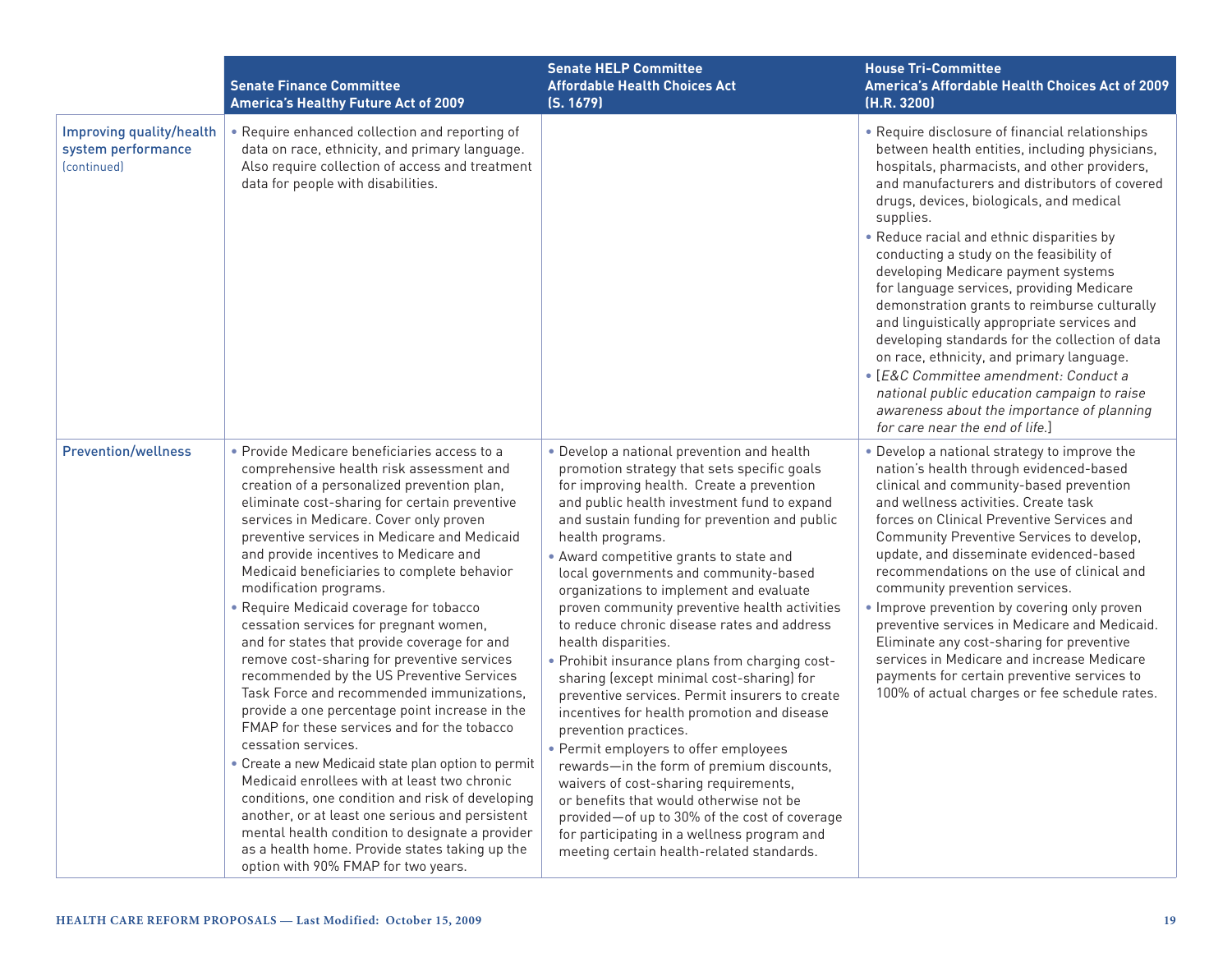|                                                                                   | <b>Senate Finance Committee</b><br>America's Healthy Future Act of 2009                                                                                                                                                                                                                                                                                                                                                                                                                                                                                                                                                                                                                                                                                                                                                                                                                                                                                                                                                                                                                                                                                                | <b>Senate HELP Committee</b><br><b>Affordable Health Choices Act</b><br>(S. 1679)                                                                                                                                                                                                                                                                                                                                                                                                                                                                                                                                                                                                                                                                                                                                                                                                                                                                                                                                                                                | <b>House Tri-Committee</b><br>America's Affordable Health Choices Act of 2009<br>(H.R. 3200)                                                                                                                                                                                                                                                                                                                                                                                                                                                                                                                                                                                                                                                                                                                     |
|-----------------------------------------------------------------------------------|------------------------------------------------------------------------------------------------------------------------------------------------------------------------------------------------------------------------------------------------------------------------------------------------------------------------------------------------------------------------------------------------------------------------------------------------------------------------------------------------------------------------------------------------------------------------------------------------------------------------------------------------------------------------------------------------------------------------------------------------------------------------------------------------------------------------------------------------------------------------------------------------------------------------------------------------------------------------------------------------------------------------------------------------------------------------------------------------------------------------------------------------------------------------|------------------------------------------------------------------------------------------------------------------------------------------------------------------------------------------------------------------------------------------------------------------------------------------------------------------------------------------------------------------------------------------------------------------------------------------------------------------------------------------------------------------------------------------------------------------------------------------------------------------------------------------------------------------------------------------------------------------------------------------------------------------------------------------------------------------------------------------------------------------------------------------------------------------------------------------------------------------------------------------------------------------------------------------------------------------|------------------------------------------------------------------------------------------------------------------------------------------------------------------------------------------------------------------------------------------------------------------------------------------------------------------------------------------------------------------------------------------------------------------------------------------------------------------------------------------------------------------------------------------------------------------------------------------------------------------------------------------------------------------------------------------------------------------------------------------------------------------------------------------------------------------|
| Improving quality/health<br>system performance<br><i><u><b>fcontinued</b></u></i> | Require enhanced collection and reporting of<br>data on race, ethnicity, and primary language.<br>Also require collection of access and treatment<br>data for people with disabilities.                                                                                                                                                                                                                                                                                                                                                                                                                                                                                                                                                                                                                                                                                                                                                                                                                                                                                                                                                                                |                                                                                                                                                                                                                                                                                                                                                                                                                                                                                                                                                                                                                                                                                                                                                                                                                                                                                                                                                                                                                                                                  | • Require disclosure of financial relationships<br>between health entities, including physicians,<br>hospitals, pharmacists, and other providers,<br>and manufacturers and distributors of covered<br>drugs, devices, biologicals, and medical<br>supplies.<br>• Reduce racial and ethnic disparities by<br>conducting a study on the feasibility of<br>developing Medicare payment systems<br>for language services, providing Medicare<br>demonstration grants to reimburse culturally<br>and linguistically appropriate services and<br>developing standards for the collection of data<br>on race, ethnicity, and primary language.<br>· [E&C Committee amendment: Conduct a<br>national public education campaign to raise<br>awareness about the importance of planning<br>for care near the end of life.] |
| <b>Prevention/wellness</b>                                                        | · Provide Medicare beneficiaries access to a<br>comprehensive health risk assessment and<br>creation of a personalized prevention plan,<br>eliminate cost-sharing for certain preventive<br>services in Medicare. Cover only proven<br>preventive services in Medicare and Medicaid<br>and provide incentives to Medicare and<br>Medicaid beneficiaries to complete behavior<br>modification programs.<br>• Require Medicaid coverage for tobacco<br>cessation services for pregnant women,<br>and for states that provide coverage for and<br>remove cost-sharing for preventive services<br>recommended by the US Preventive Services<br>Task Force and recommended immunizations,<br>provide a one percentage point increase in the<br>FMAP for these services and for the tobacco<br>cessation services.<br>• Create a new Medicaid state plan option to permit<br>Medicaid enrollees with at least two chronic<br>conditions, one condition and risk of developing<br>another, or at least one serious and persistent<br>mental health condition to designate a provider<br>as a health home. Provide states taking up the<br>option with 90% FMAP for two years. | • Develop a national prevention and health<br>promotion strategy that sets specific goals<br>for improving health. Create a prevention<br>and public health investment fund to expand<br>and sustain funding for prevention and public<br>health programs.<br>• Award competitive grants to state and<br>local governments and community-based<br>organizations to implement and evaluate<br>proven community preventive health activities<br>to reduce chronic disease rates and address<br>health disparities.<br>• Prohibit insurance plans from charging cost-<br>sharing (except minimal cost-sharing) for<br>preventive services. Permit insurers to create<br>incentives for health promotion and disease<br>prevention practices.<br>• Permit employers to offer employees<br>rewards-in the form of premium discounts,<br>waivers of cost-sharing requirements,<br>or benefits that would otherwise not be<br>provided-of up to 30% of the cost of coverage<br>for participating in a wellness program and<br>meeting certain health-related standards. | • Develop a national strategy to improve the<br>nation's health through evidenced-based<br>clinical and community-based prevention<br>and wellness activities. Create task<br>forces on Clinical Preventive Services and<br>Community Preventive Services to develop,<br>update, and disseminate evidenced-based<br>recommendations on the use of clinical and<br>community prevention services.<br>• Improve prevention by covering only proven<br>preventive services in Medicare and Medicaid.<br>Eliminate any cost-sharing for preventive<br>services in Medicare and increase Medicare<br>payments for certain preventive services to<br>100% of actual charges or fee schedule rates.                                                                                                                     |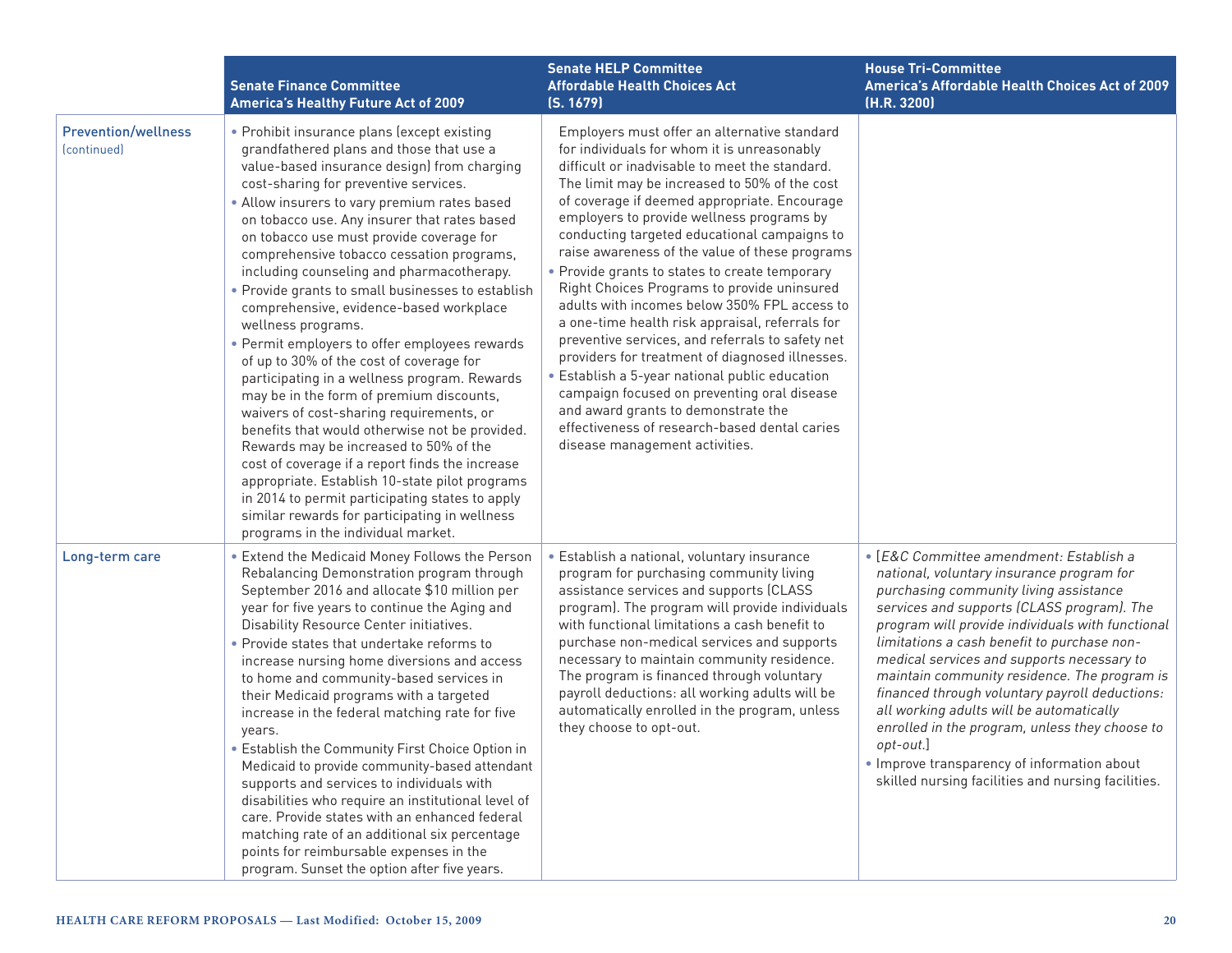|                                                              | <b>Senate Finance Committee</b><br><b>America's Healthy Future Act of 2009</b>                                                                                                                                                                                                                                                                                                                                                                                                                                                                                                                                                                                                                                                                                                                                                                                                                                                                                                                                                                                                                                              | <b>Senate HELP Committee</b><br><b>Affordable Health Choices Act</b><br>(S. 1679)                                                                                                                                                                                                                                                                                                                                                                                                                                                                                                                                                                                                                                                                                                                                                                                                                                                   | <b>House Tri-Committee</b><br>America's Affordable Health Choices Act of 2009<br>(H.R. 3200)                                                                                                                                                                                                                                                                                                                                                                                                                                                                                                                                                      |
|--------------------------------------------------------------|-----------------------------------------------------------------------------------------------------------------------------------------------------------------------------------------------------------------------------------------------------------------------------------------------------------------------------------------------------------------------------------------------------------------------------------------------------------------------------------------------------------------------------------------------------------------------------------------------------------------------------------------------------------------------------------------------------------------------------------------------------------------------------------------------------------------------------------------------------------------------------------------------------------------------------------------------------------------------------------------------------------------------------------------------------------------------------------------------------------------------------|-------------------------------------------------------------------------------------------------------------------------------------------------------------------------------------------------------------------------------------------------------------------------------------------------------------------------------------------------------------------------------------------------------------------------------------------------------------------------------------------------------------------------------------------------------------------------------------------------------------------------------------------------------------------------------------------------------------------------------------------------------------------------------------------------------------------------------------------------------------------------------------------------------------------------------------|---------------------------------------------------------------------------------------------------------------------------------------------------------------------------------------------------------------------------------------------------------------------------------------------------------------------------------------------------------------------------------------------------------------------------------------------------------------------------------------------------------------------------------------------------------------------------------------------------------------------------------------------------|
| <b>Prevention/wellness</b><br><i><u><b>Continued</b></u></i> | • Prohibit insurance plans (except existing<br>grandfathered plans and those that use a<br>value-based insurance design) from charging<br>cost-sharing for preventive services.<br>• Allow insurers to vary premium rates based<br>on tobacco use. Any insurer that rates based<br>on tobacco use must provide coverage for<br>comprehensive tobacco cessation programs,<br>including counseling and pharmacotherapy.<br>• Provide grants to small businesses to establish<br>comprehensive, evidence-based workplace<br>wellness programs.<br>• Permit employers to offer employees rewards<br>of up to 30% of the cost of coverage for<br>participating in a wellness program. Rewards<br>may be in the form of premium discounts,<br>waivers of cost-sharing requirements, or<br>benefits that would otherwise not be provided.<br>Rewards may be increased to 50% of the<br>cost of coverage if a report finds the increase<br>appropriate. Establish 10-state pilot programs<br>in 2014 to permit participating states to apply<br>similar rewards for participating in wellness<br>programs in the individual market. | Employers must offer an alternative standard<br>for individuals for whom it is unreasonably<br>difficult or inadvisable to meet the standard.<br>The limit may be increased to 50% of the cost<br>of coverage if deemed appropriate. Encourage<br>employers to provide wellness programs by<br>conducting targeted educational campaigns to<br>raise awareness of the value of these programs<br>• Provide grants to states to create temporary<br>Right Choices Programs to provide uninsured<br>adults with incomes below 350% FPL access to<br>a one-time health risk appraisal, referrals for<br>preventive services, and referrals to safety net<br>providers for treatment of diagnosed illnesses.<br>• Establish a 5-year national public education<br>campaign focused on preventing oral disease<br>and award grants to demonstrate the<br>effectiveness of research-based dental caries<br>disease management activities. |                                                                                                                                                                                                                                                                                                                                                                                                                                                                                                                                                                                                                                                   |
| Long-term care                                               | • Extend the Medicaid Money Follows the Person<br>Rebalancing Demonstration program through<br>September 2016 and allocate \$10 million per<br>year for five years to continue the Aging and<br>Disability Resource Center initiatives.<br>• Provide states that undertake reforms to<br>increase nursing home diversions and access<br>to home and community-based services in<br>their Medicaid programs with a targeted<br>increase in the federal matching rate for five<br>years.<br>Establish the Community First Choice Option in<br>Medicaid to provide community-based attendant<br>supports and services to individuals with<br>disabilities who require an institutional level of<br>care. Provide states with an enhanced federal<br>matching rate of an additional six percentage<br>points for reimbursable expenses in the<br>program. Sunset the option after five years.                                                                                                                                                                                                                                   | • Establish a national, voluntary insurance<br>program for purchasing community living<br>assistance services and supports (CLASS<br>program). The program will provide individuals<br>with functional limitations a cash benefit to<br>purchase non-medical services and supports<br>necessary to maintain community residence.<br>The program is financed through voluntary<br>payroll deductions: all working adults will be<br>automatically enrolled in the program, unless<br>they choose to opt-out.                                                                                                                                                                                                                                                                                                                                                                                                                         | • [E&C Committee amendment: Establish a<br>national, voluntary insurance program for<br>purchasing community living assistance<br>services and supports (CLASS program). The<br>program will provide individuals with functional<br>limitations a cash benefit to purchase non-<br>medical services and supports necessary to<br>maintain community residence. The program is<br>financed through voluntary payroll deductions:<br>all working adults will be automatically<br>enrolled in the program, unless they choose to<br>$opt-out.]$<br>. Improve transparency of information about<br>skilled nursing facilities and nursing facilities. |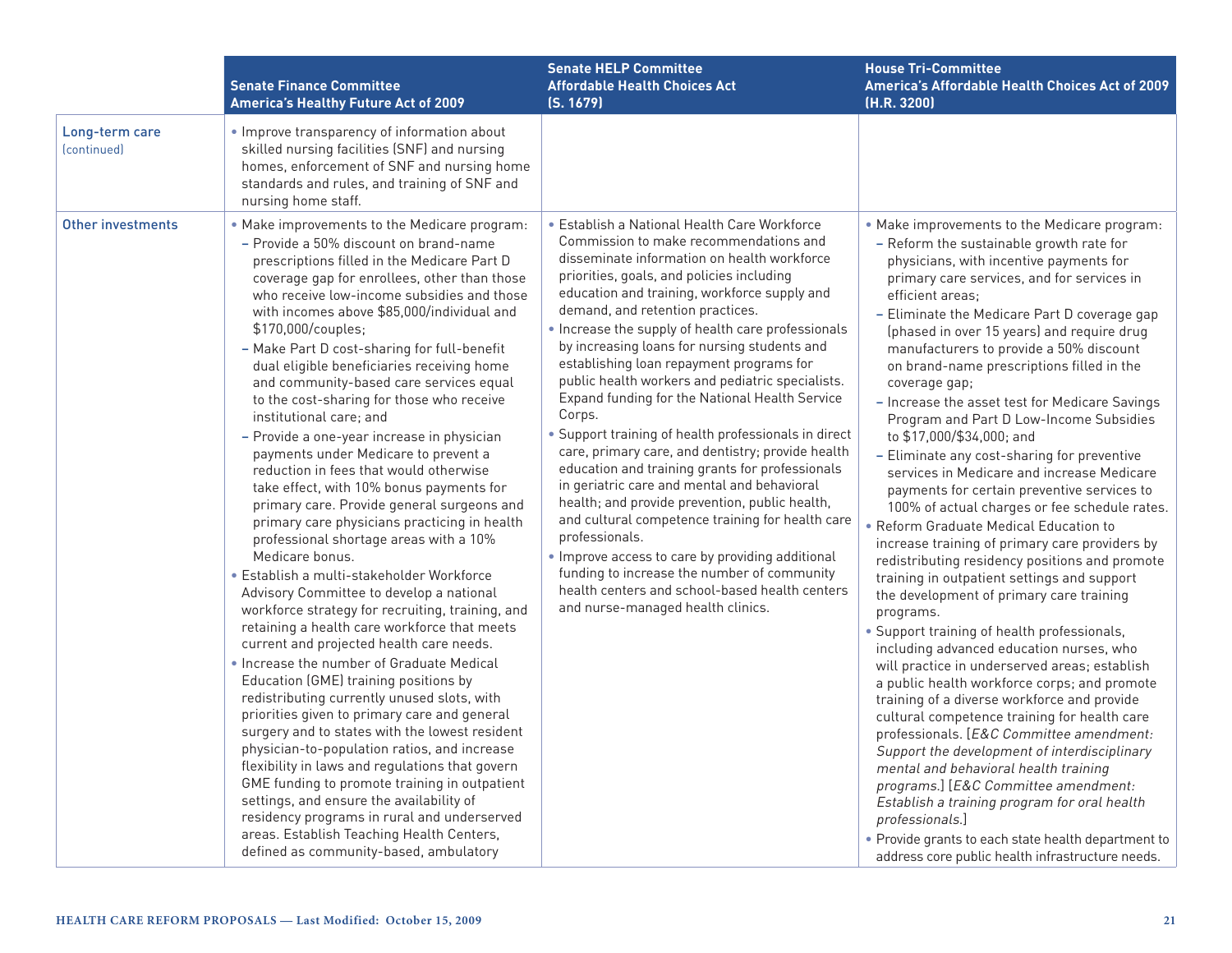|                               | <b>Senate Finance Committee</b><br><b>America's Healthy Future Act of 2009</b>                                                                                                                                                                                                                                                                                                                                                                                                                                                                                                                                                                                                                                                                                                                                                                                                                                                                                                                                                                                                                                                                                                                                                                                                                                                                                                                                                                                                                                                                                                                                                                                                       | <b>Senate HELP Committee</b><br><b>Affordable Health Choices Act</b><br>(S. 1679)                                                                                                                                                                                                                                                                                                                                                                                                                                                                                                                                                                                                                                                                                                                                                                                                                                                                                                                                                                                         | <b>House Tri-Committee</b><br>America's Affordable Health Choices Act of 2009<br>(H.R. 3200)                                                                                                                                                                                                                                                                                                                                                                                                                                                                                                                                                                                                                                                                                                                                                                                                                                                                                                                                                                                                                                                                                                                                                                                                                                                                                                                                                                                                                                                                                                                                                    |
|-------------------------------|--------------------------------------------------------------------------------------------------------------------------------------------------------------------------------------------------------------------------------------------------------------------------------------------------------------------------------------------------------------------------------------------------------------------------------------------------------------------------------------------------------------------------------------------------------------------------------------------------------------------------------------------------------------------------------------------------------------------------------------------------------------------------------------------------------------------------------------------------------------------------------------------------------------------------------------------------------------------------------------------------------------------------------------------------------------------------------------------------------------------------------------------------------------------------------------------------------------------------------------------------------------------------------------------------------------------------------------------------------------------------------------------------------------------------------------------------------------------------------------------------------------------------------------------------------------------------------------------------------------------------------------------------------------------------------------|---------------------------------------------------------------------------------------------------------------------------------------------------------------------------------------------------------------------------------------------------------------------------------------------------------------------------------------------------------------------------------------------------------------------------------------------------------------------------------------------------------------------------------------------------------------------------------------------------------------------------------------------------------------------------------------------------------------------------------------------------------------------------------------------------------------------------------------------------------------------------------------------------------------------------------------------------------------------------------------------------------------------------------------------------------------------------|-------------------------------------------------------------------------------------------------------------------------------------------------------------------------------------------------------------------------------------------------------------------------------------------------------------------------------------------------------------------------------------------------------------------------------------------------------------------------------------------------------------------------------------------------------------------------------------------------------------------------------------------------------------------------------------------------------------------------------------------------------------------------------------------------------------------------------------------------------------------------------------------------------------------------------------------------------------------------------------------------------------------------------------------------------------------------------------------------------------------------------------------------------------------------------------------------------------------------------------------------------------------------------------------------------------------------------------------------------------------------------------------------------------------------------------------------------------------------------------------------------------------------------------------------------------------------------------------------------------------------------------------------|
| Long-term care<br>(continued) | . Improve transparency of information about<br>skilled nursing facilities (SNF) and nursing<br>homes, enforcement of SNF and nursing home<br>standards and rules, and training of SNF and<br>nursing home staff.                                                                                                                                                                                                                                                                                                                                                                                                                                                                                                                                                                                                                                                                                                                                                                                                                                                                                                                                                                                                                                                                                                                                                                                                                                                                                                                                                                                                                                                                     |                                                                                                                                                                                                                                                                                                                                                                                                                                                                                                                                                                                                                                                                                                                                                                                                                                                                                                                                                                                                                                                                           |                                                                                                                                                                                                                                                                                                                                                                                                                                                                                                                                                                                                                                                                                                                                                                                                                                                                                                                                                                                                                                                                                                                                                                                                                                                                                                                                                                                                                                                                                                                                                                                                                                                 |
| Other investments             | . Make improvements to the Medicare program:<br>- Provide a 50% discount on brand-name<br>prescriptions filled in the Medicare Part D<br>coverage gap for enrollees, other than those<br>who receive low-income subsidies and those<br>with incomes above \$85,000/individual and<br>\$170,000/couples;<br>- Make Part D cost-sharing for full-benefit<br>dual eligible beneficiaries receiving home<br>and community-based care services equal<br>to the cost-sharing for those who receive<br>institutional care; and<br>- Provide a one-year increase in physician<br>payments under Medicare to prevent a<br>reduction in fees that would otherwise<br>take effect, with 10% bonus payments for<br>primary care. Provide general surgeons and<br>primary care physicians practicing in health<br>professional shortage areas with a 10%<br>Medicare bonus.<br>· Establish a multi-stakeholder Workforce<br>Advisory Committee to develop a national<br>workforce strategy for recruiting, training, and<br>retaining a health care workforce that meets<br>current and projected health care needs.<br>. Increase the number of Graduate Medical<br>Education (GME) training positions by<br>redistributing currently unused slots, with<br>priorities given to primary care and general<br>surgery and to states with the lowest resident<br>physician-to-population ratios, and increase<br>flexibility in laws and regulations that govern<br>GME funding to promote training in outpatient<br>settings, and ensure the availability of<br>residency programs in rural and underserved<br>areas. Establish Teaching Health Centers,<br>defined as community-based, ambulatory | • Establish a National Health Care Workforce<br>Commission to make recommendations and<br>disseminate information on health workforce<br>priorities, goals, and policies including<br>education and training, workforce supply and<br>demand, and retention practices.<br>. Increase the supply of health care professionals<br>by increasing loans for nursing students and<br>establishing loan repayment programs for<br>public health workers and pediatric specialists.<br>Expand funding for the National Health Service<br>Corps.<br>• Support training of health professionals in direct<br>care, primary care, and dentistry; provide health<br>education and training grants for professionals<br>in geriatric care and mental and behavioral<br>health; and provide prevention, public health,<br>and cultural competence training for health care<br>professionals.<br>. Improve access to care by providing additional<br>funding to increase the number of community<br>health centers and school-based health centers<br>and nurse-managed health clinics. | . Make improvements to the Medicare program:<br>- Reform the sustainable growth rate for<br>physicians, with incentive payments for<br>primary care services, and for services in<br>efficient areas:<br>- Eliminate the Medicare Part D coverage gap<br>(phased in over 15 years) and require drug<br>manufacturers to provide a 50% discount<br>on brand-name prescriptions filled in the<br>coverage gap;<br>- Increase the asset test for Medicare Savings<br>Program and Part D Low-Income Subsidies<br>to \$17,000/\$34,000; and<br>- Eliminate any cost-sharing for preventive<br>services in Medicare and increase Medicare<br>payments for certain preventive services to<br>100% of actual charges or fee schedule rates.<br>• Reform Graduate Medical Education to<br>increase training of primary care providers by<br>redistributing residency positions and promote<br>training in outpatient settings and support<br>the development of primary care training<br>programs.<br>· Support training of health professionals,<br>including advanced education nurses, who<br>will practice in underserved areas; establish<br>a public health workforce corps; and promote<br>training of a diverse workforce and provide<br>cultural competence training for health care<br>professionals. [E&C Committee amendment:<br>Support the development of interdisciplinary<br>mental and behavioral health training<br>programs.] [E&C Committee amendment:<br>Establish a training program for oral health<br>professionals.]<br>• Provide grants to each state health department to<br>address core public health infrastructure needs. |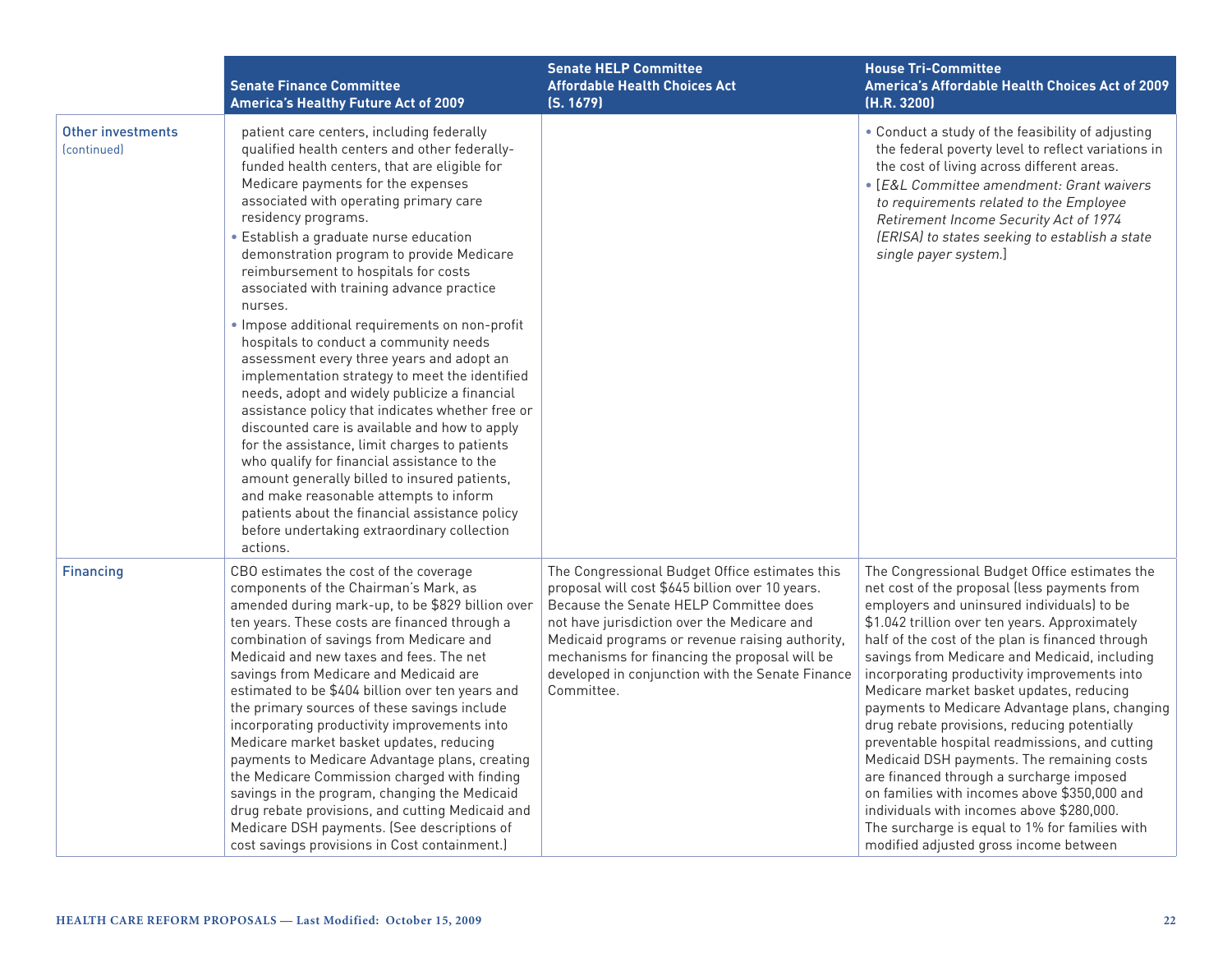|                                                            | <b>Senate Finance Committee</b><br><b>America's Healthy Future Act of 2009</b>                                                                                                                                                                                                                                                                                                                                                                                                                                                                                                                                                                                                                                                                                                                                                                                                                                                                                                                                                                                                                   | <b>Senate HELP Committee</b><br><b>Affordable Health Choices Act</b><br>(S. 1679)                                                                                                                                                                                                                                                                                | <b>House Tri-Committee</b><br>America's Affordable Health Choices Act of 2009<br>(H.R. 3200)                                                                                                                                                                                                                                                                                                                                                                                                                                                                                                                                                                                                                                                                                                                                          |
|------------------------------------------------------------|--------------------------------------------------------------------------------------------------------------------------------------------------------------------------------------------------------------------------------------------------------------------------------------------------------------------------------------------------------------------------------------------------------------------------------------------------------------------------------------------------------------------------------------------------------------------------------------------------------------------------------------------------------------------------------------------------------------------------------------------------------------------------------------------------------------------------------------------------------------------------------------------------------------------------------------------------------------------------------------------------------------------------------------------------------------------------------------------------|------------------------------------------------------------------------------------------------------------------------------------------------------------------------------------------------------------------------------------------------------------------------------------------------------------------------------------------------------------------|---------------------------------------------------------------------------------------------------------------------------------------------------------------------------------------------------------------------------------------------------------------------------------------------------------------------------------------------------------------------------------------------------------------------------------------------------------------------------------------------------------------------------------------------------------------------------------------------------------------------------------------------------------------------------------------------------------------------------------------------------------------------------------------------------------------------------------------|
| <b>Other investments</b><br><i><u><b>Continued</b></u></i> | patient care centers, including federally<br>qualified health centers and other federally-<br>funded health centers, that are eligible for<br>Medicare payments for the expenses<br>associated with operating primary care<br>residency programs.<br>· Establish a graduate nurse education<br>demonstration program to provide Medicare<br>reimbursement to hospitals for costs<br>associated with training advance practice<br>nurses.<br>· Impose additional requirements on non-profit<br>hospitals to conduct a community needs<br>assessment every three years and adopt an<br>implementation strategy to meet the identified<br>needs, adopt and widely publicize a financial<br>assistance policy that indicates whether free or<br>discounted care is available and how to apply<br>for the assistance, limit charges to patients<br>who qualify for financial assistance to the<br>amount generally billed to insured patients,<br>and make reasonable attempts to inform<br>patients about the financial assistance policy<br>before undertaking extraordinary collection<br>actions. |                                                                                                                                                                                                                                                                                                                                                                  | • Conduct a study of the feasibility of adjusting<br>the federal poverty level to reflect variations in<br>the cost of living across different areas.<br>• [E&L Committee amendment: Grant waivers<br>to requirements related to the Employee<br>Retirement Income Security Act of 1974<br>(ERISA) to states seeking to establish a state<br>single payer system.]                                                                                                                                                                                                                                                                                                                                                                                                                                                                    |
| <b>Financing</b>                                           | CBO estimates the cost of the coverage<br>components of the Chairman's Mark, as<br>amended during mark-up, to be \$829 billion over<br>ten years. These costs are financed through a<br>combination of savings from Medicare and<br>Medicaid and new taxes and fees. The net<br>savings from Medicare and Medicaid are<br>estimated to be \$404 billion over ten years and<br>the primary sources of these savings include<br>incorporating productivity improvements into<br>Medicare market basket updates, reducing<br>payments to Medicare Advantage plans, creating<br>the Medicare Commission charged with finding<br>savings in the program, changing the Medicaid<br>drug rebate provisions, and cutting Medicaid and<br>Medicare DSH payments. (See descriptions of<br>cost savings provisions in Cost containment.)                                                                                                                                                                                                                                                                    | The Congressional Budget Office estimates this<br>proposal will cost \$645 billion over 10 years.<br>Because the Senate HELP Committee does<br>not have jurisdiction over the Medicare and<br>Medicaid programs or revenue raising authority,<br>mechanisms for financing the proposal will be<br>developed in conjunction with the Senate Finance<br>Committee. | The Congressional Budget Office estimates the<br>net cost of the proposal (less payments from<br>employers and uninsured individuals) to be<br>\$1.042 trillion over ten years. Approximately<br>half of the cost of the plan is financed through<br>savings from Medicare and Medicaid, including<br>incorporating productivity improvements into<br>Medicare market basket updates, reducing<br>payments to Medicare Advantage plans, changing<br>drug rebate provisions, reducing potentially<br>preventable hospital readmissions, and cutting<br>Medicaid DSH payments. The remaining costs<br>are financed through a surcharge imposed<br>on families with incomes above \$350,000 and<br>individuals with incomes above \$280,000.<br>The surcharge is equal to 1% for families with<br>modified adjusted gross income between |